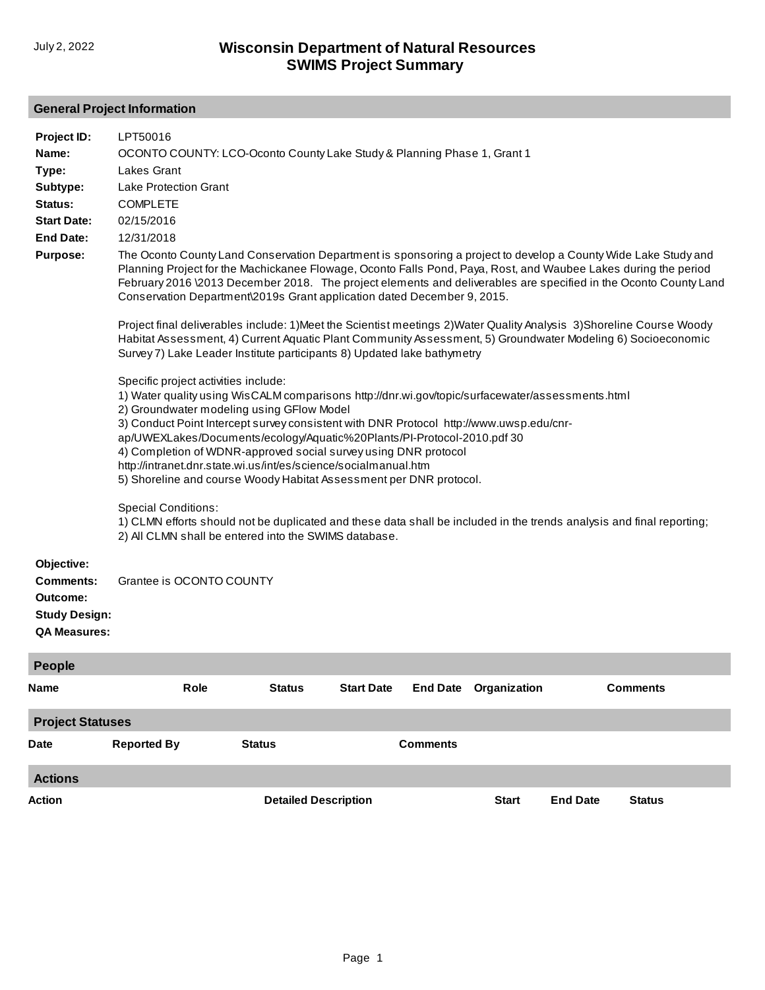### **General Project Information**

| Project ID:<br>Name:                                                                      | LPT50016<br>OCONTO COUNTY: LCO-Oconto County Lake Study & Planning Phase 1, Grant 1                                                                                                                                                                                                                                                                                                                                                                                                                                                                                                                   |               |                   |                 |                              |                                                                                                                       |
|-------------------------------------------------------------------------------------------|-------------------------------------------------------------------------------------------------------------------------------------------------------------------------------------------------------------------------------------------------------------------------------------------------------------------------------------------------------------------------------------------------------------------------------------------------------------------------------------------------------------------------------------------------------------------------------------------------------|---------------|-------------------|-----------------|------------------------------|-----------------------------------------------------------------------------------------------------------------------|
| Type:                                                                                     | Lakes Grant                                                                                                                                                                                                                                                                                                                                                                                                                                                                                                                                                                                           |               |                   |                 |                              |                                                                                                                       |
| Subtype:                                                                                  | <b>Lake Protection Grant</b>                                                                                                                                                                                                                                                                                                                                                                                                                                                                                                                                                                          |               |                   |                 |                              |                                                                                                                       |
| Status:                                                                                   | <b>COMPLETE</b>                                                                                                                                                                                                                                                                                                                                                                                                                                                                                                                                                                                       |               |                   |                 |                              |                                                                                                                       |
| <b>Start Date:</b><br><b>End Date:</b>                                                    | 02/15/2016                                                                                                                                                                                                                                                                                                                                                                                                                                                                                                                                                                                            |               |                   |                 |                              |                                                                                                                       |
| <b>Purpose:</b>                                                                           | 12/31/2018<br>The Oconto County Land Conservation Department is sponsoring a project to develop a County Wide Lake Study and<br>Planning Project for the Machickanee Flowage, Oconto Falls Pond, Paya, Rost, and Waubee Lakes during the period<br>February 2016 \2013 December 2018. The project elements and deliverables are specified in the Oconto County Land<br>Conservation Department\2019s Grant application dated December 9, 2015.                                                                                                                                                        |               |                   |                 |                              |                                                                                                                       |
|                                                                                           | Project final deliverables include: 1) Meet the Scientist meetings 2) Water Quality Analysis 3) Shoreline Course Woody<br>Habitat Assessment, 4) Current Aquatic Plant Community Assessment, 5) Groundwater Modeling 6) Socioeconomic<br>Survey 7) Lake Leader Institute participants 8) Updated lake bathymetry                                                                                                                                                                                                                                                                                      |               |                   |                 |                              |                                                                                                                       |
|                                                                                           | Specific project activities include:<br>1) Water quality using WisCALM comparisons http://dnr.wi.gov/topic/surfacewater/assessments.html<br>2) Groundwater modeling using GFlow Model<br>3) Conduct Point Intercept survey consistent with DNR Protocol http://www.uwsp.edu/cnr-<br>ap/UWEXLakes/Documents/ecology/Aquatic%20Plants/PI-Protocol-2010.pdf 30<br>4) Completion of WDNR-approved social survey using DNR protocol<br>http://intranet.dnr.state.wi.us/int/es/science/socialmanual.htm<br>5) Shoreline and course Woody Habitat Assessment per DNR protocol.<br><b>Special Conditions:</b> |               |                   |                 |                              |                                                                                                                       |
|                                                                                           | 2) All CLMN shall be entered into the SWIMS database.                                                                                                                                                                                                                                                                                                                                                                                                                                                                                                                                                 |               |                   |                 |                              | 1) CLMN efforts should not be duplicated and these data shall be included in the trends analysis and final reporting; |
| Objective:<br><b>Comments:</b><br>Outcome:<br><b>Study Design:</b><br><b>QA Measures:</b> | Grantee is OCONTO COUNTY                                                                                                                                                                                                                                                                                                                                                                                                                                                                                                                                                                              |               |                   |                 |                              |                                                                                                                       |
| <b>People</b>                                                                             |                                                                                                                                                                                                                                                                                                                                                                                                                                                                                                                                                                                                       |               |                   |                 |                              |                                                                                                                       |
| Name                                                                                      | Role                                                                                                                                                                                                                                                                                                                                                                                                                                                                                                                                                                                                  | <b>Status</b> | <b>Start Date</b> |                 | <b>End Date Organization</b> | <b>Comments</b>                                                                                                       |
| <b>Project Statuses</b>                                                                   |                                                                                                                                                                                                                                                                                                                                                                                                                                                                                                                                                                                                       |               |                   |                 |                              |                                                                                                                       |
| Date                                                                                      | <b>Reported By</b>                                                                                                                                                                                                                                                                                                                                                                                                                                                                                                                                                                                    | <b>Status</b> |                   | <b>Comments</b> |                              |                                                                                                                       |
| <b>Actions</b>                                                                            |                                                                                                                                                                                                                                                                                                                                                                                                                                                                                                                                                                                                       |               |                   |                 |                              |                                                                                                                       |

**Action Detailed Description Start End Date Status**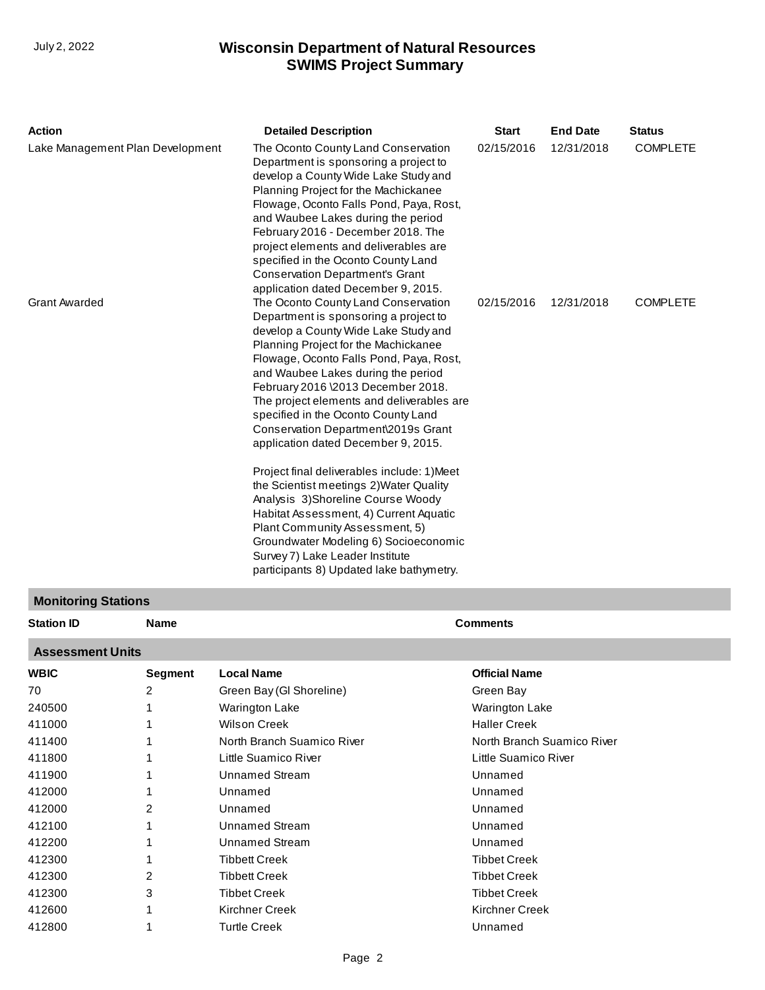| <b>Action</b>                    | <b>Detailed Description</b>                                                                                                                                                                                                                                                                                                                                                                                                                                                                                                                                                                                                                                                                                                                                                               | <b>Start</b> | <b>End Date</b> | <b>Status</b>   |
|----------------------------------|-------------------------------------------------------------------------------------------------------------------------------------------------------------------------------------------------------------------------------------------------------------------------------------------------------------------------------------------------------------------------------------------------------------------------------------------------------------------------------------------------------------------------------------------------------------------------------------------------------------------------------------------------------------------------------------------------------------------------------------------------------------------------------------------|--------------|-----------------|-----------------|
| Lake Management Plan Development | The Oconto County Land Conservation<br>Department is sponsoring a project to<br>develop a County Wide Lake Study and<br>Planning Project for the Machickanee<br>Flowage, Oconto Falls Pond, Paya, Rost,<br>and Waubee Lakes during the period<br>February 2016 - December 2018. The<br>project elements and deliverables are<br>specified in the Oconto County Land<br><b>Conservation Department's Grant</b><br>application dated December 9, 2015.                                                                                                                                                                                                                                                                                                                                      | 02/15/2016   | 12/31/2018      | <b>COMPLETE</b> |
| <b>Grant Awarded</b>             | The Oconto County Land Conservation<br>Department is sponsoring a project to<br>develop a County Wide Lake Study and<br>Planning Project for the Machickanee<br>Flowage, Oconto Falls Pond, Paya, Rost,<br>and Waubee Lakes during the period<br>February 2016 \2013 December 2018.<br>The project elements and deliverables are<br>specified in the Oconto County Land<br>Conservation Department\2019s Grant<br>application dated December 9, 2015.<br>Project final deliverables include: 1) Meet<br>the Scientist meetings 2) Water Quality<br>Analysis 3) Shoreline Course Woody<br>Habitat Assessment, 4) Current Aquatic<br>Plant Community Assessment, 5)<br>Groundwater Modeling 6) Socioeconomic<br>Survey 7) Lake Leader Institute<br>participants 8) Updated lake bathymetry. | 02/15/2016   | 12/31/2018      | <b>COMPLETE</b> |

## **Monitoring Stations**

| <b>Station ID</b>       | <b>Name</b> |                            | <b>Comments</b>            |  |  |  |  |
|-------------------------|-------------|----------------------------|----------------------------|--|--|--|--|
| <b>Assessment Units</b> |             |                            |                            |  |  |  |  |
| <b>WBIC</b>             | Segment     | <b>Local Name</b>          | <b>Official Name</b>       |  |  |  |  |
| 70                      | 2           | Green Bay (GI Shoreline)   | Green Bay                  |  |  |  |  |
| 240500                  |             | <b>Warington Lake</b>      | <b>Warington Lake</b>      |  |  |  |  |
| 411000                  |             | <b>Wilson Creek</b>        | <b>Haller Creek</b>        |  |  |  |  |
| 411400                  |             | North Branch Suamico River | North Branch Suamico River |  |  |  |  |
| 411800                  |             | Little Suamico River       | Little Suamico River       |  |  |  |  |
| 411900                  |             | Unnamed Stream             | Unnamed                    |  |  |  |  |
| 412000                  |             | Unnamed                    | Unnamed                    |  |  |  |  |
| 412000                  | 2           | Unnamed                    | Unnamed                    |  |  |  |  |
| 412100                  |             | Unnamed Stream             | Unnamed                    |  |  |  |  |
| 412200                  |             | Unnamed Stream             | Unnamed                    |  |  |  |  |
| 412300                  |             | <b>Tibbett Creek</b>       | <b>Tibbet Creek</b>        |  |  |  |  |
| 412300                  | 2           | <b>Tibbett Creek</b>       | <b>Tibbet Creek</b>        |  |  |  |  |
| 412300                  | 3           | <b>Tibbet Creek</b>        | <b>Tibbet Creek</b>        |  |  |  |  |
| 412600                  |             | Kirchner Creek             | Kirchner Creek             |  |  |  |  |
| 412800                  |             | <b>Turtle Creek</b>        | Unnamed                    |  |  |  |  |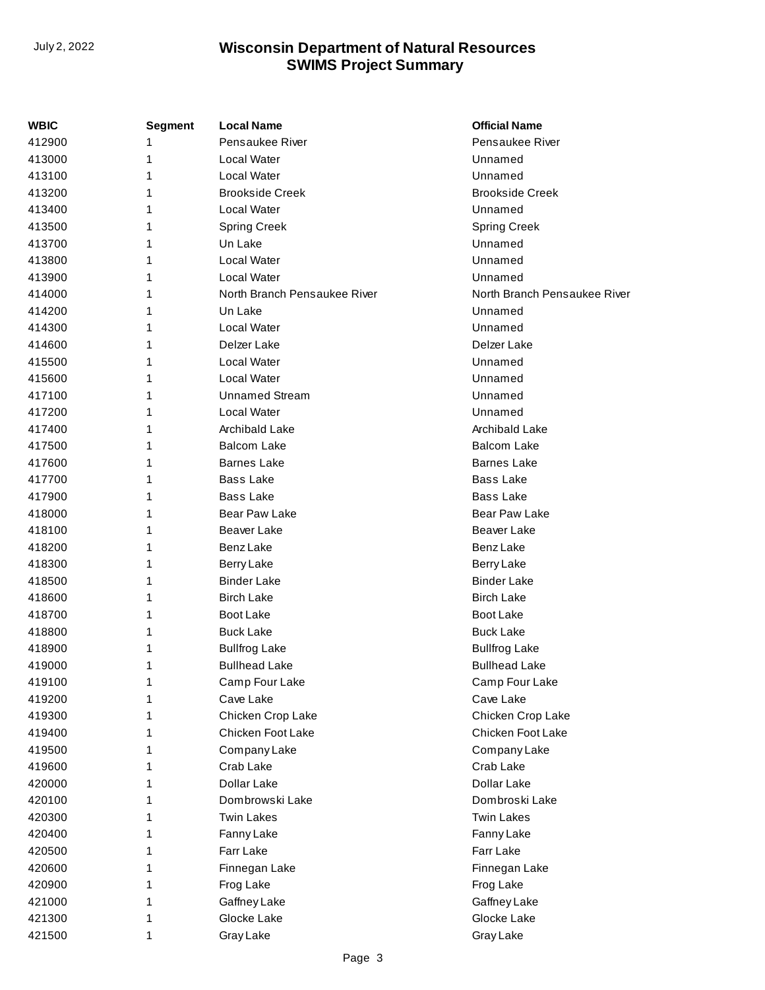| WBIC   | <b>Segment</b> | <b>Local Name</b>            | <b>Official Name</b>         |
|--------|----------------|------------------------------|------------------------------|
| 412900 |                | Pensaukee River              | Pensaukee River              |
| 413000 | 1              | Local Water                  | Unnamed                      |
| 413100 | 1              | Local Water                  | Unnamed                      |
| 413200 | 1              | <b>Brookside Creek</b>       | <b>Brookside Creek</b>       |
| 413400 | 1              | Local Water                  | Unnamed                      |
| 413500 | 1              | <b>Spring Creek</b>          | Spring Creek                 |
| 413700 | 1              | Un Lake                      | Unnamed                      |
| 413800 | 1              | Local Water                  | Unnamed                      |
| 413900 | 1              | Local Water                  | Unnamed                      |
| 414000 | 1              | North Branch Pensaukee River | North Branch Pensaukee River |
| 414200 | 1              | Un Lake                      | Unnamed                      |
| 414300 | 1              | Local Water                  | Unnamed                      |
| 414600 | 1              | Delzer Lake                  | Delzer Lake                  |
| 415500 | 1              | Local Water                  | Unnamed                      |
| 415600 | 1              | Local Water                  | Unnamed                      |
| 417100 | 1              | <b>Unnamed Stream</b>        | Unnamed                      |
| 417200 | 1              | Local Water                  | Unnamed                      |
| 417400 | 1              | Archibald Lake               | Archibald Lake               |
| 417500 | 1              | <b>Balcom Lake</b>           | <b>Balcom Lake</b>           |
| 417600 | 1              | <b>Barnes Lake</b>           | <b>Barnes Lake</b>           |
| 417700 | 1              | <b>Bass Lake</b>             | <b>Bass Lake</b>             |
| 417900 | 1              | <b>Bass Lake</b>             | <b>Bass Lake</b>             |
| 418000 | 1              | Bear Paw Lake                | Bear Paw Lake                |
| 418100 | 1              | <b>Beaver Lake</b>           | <b>Beaver Lake</b>           |
| 418200 | 1              | <b>Benz Lake</b>             | <b>Benz Lake</b>             |
| 418300 | 1              | <b>Berry Lake</b>            | Berry Lake                   |
| 418500 | 1              | <b>Binder Lake</b>           | <b>Binder Lake</b>           |
| 418600 | 1              | <b>Birch Lake</b>            | <b>Birch Lake</b>            |
| 418700 | 1              | <b>Boot Lake</b>             | <b>Boot Lake</b>             |
| 418800 | 1              | <b>Buck Lake</b>             | <b>Buck Lake</b>             |
| 418900 | 1              | <b>Bullfrog Lake</b>         | <b>Bullfrog Lake</b>         |
| 419000 | 1              | <b>Bullhead Lake</b>         | <b>Bullhead Lake</b>         |
| 419100 | 1              | Camp Four Lake               | Camp Four Lake               |
| 419200 | 1              | Cave Lake                    | Cave Lake                    |
| 419300 | 1              | Chicken Crop Lake            | Chicken Crop Lake            |
| 419400 | 1              | Chicken Foot Lake            | Chicken Foot Lake            |
| 419500 | 1              | Company Lake                 | Company Lake                 |
| 419600 | 1              | Crab Lake                    | Crab Lake                    |
| 420000 | 1              | Dollar Lake                  | Dollar Lake                  |
| 420100 | 1              | Dombrowski Lake              | Dombroski Lake               |
| 420300 | 1              | <b>Twin Lakes</b>            | <b>Twin Lakes</b>            |
| 420400 | 1              | Fanny Lake                   | Fanny Lake                   |
| 420500 | 1              | Farr Lake                    | Farr Lake                    |
| 420600 | 1              | Finnegan Lake                | Finnegan Lake                |
| 420900 | 1              | Frog Lake                    | Frog Lake                    |
| 421000 | 1              | Gaffney Lake                 | Gaffney Lake                 |
| 421300 | 1              | Glocke Lake                  | Glocke Lake                  |
| 421500 | 1              | Gray Lake                    | Gray Lake                    |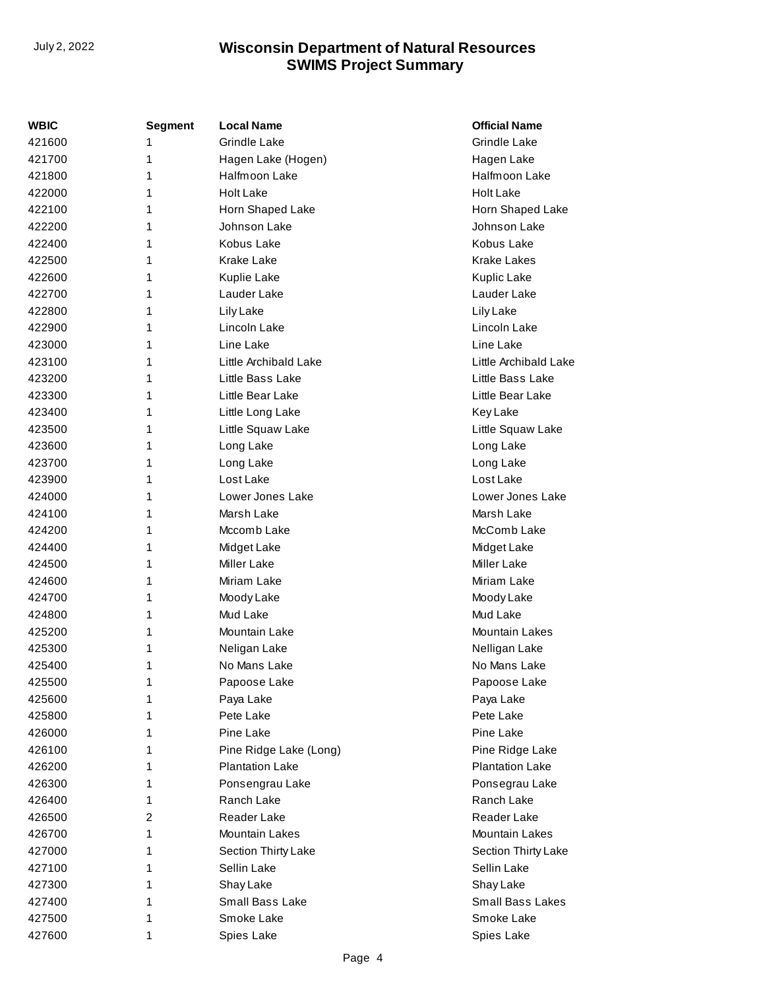| <b>WBIC</b> | <b>Segment</b> | <b>Local Name</b>      | <b>Official Name</b>    |
|-------------|----------------|------------------------|-------------------------|
| 421600      | 1              | <b>Grindle Lake</b>    | <b>Grindle Lake</b>     |
| 421700      | 1              | Hagen Lake (Hogen)     | Hagen Lake              |
| 421800      | 1              | Halfmoon Lake          | Halfmoon Lake           |
| 422000      | 1              | <b>Holt Lake</b>       | <b>Holt Lake</b>        |
| 422100      | 1              | Horn Shaped Lake       | Horn Shaped Lake        |
| 422200      | 1              | Johnson Lake           | Johnson Lake            |
| 422400      | 1              | Kobus Lake             | Kobus Lake              |
| 422500      | 1              | <b>Krake Lake</b>      | <b>Krake Lakes</b>      |
| 422600      | 1              | <b>Kuplie Lake</b>     | Kuplic Lake             |
| 422700      | 1              | Lauder Lake            | Lauder Lake             |
| 422800      | 1              | Lily Lake              | Lily Lake               |
| 422900      | 1              | Lincoln Lake           | Lincoln Lake            |
| 423000      | 1              | Line Lake              | Line Lake               |
| 423100      | 1              | Little Archibald Lake  | Little Archibald Lake   |
| 423200      | 1              | Little Bass Lake       | Little Bass Lake        |
| 423300      | 1              | Little Bear Lake       | Little Bear Lake        |
| 423400      | 1              | Little Long Lake       | <b>Key Lake</b>         |
| 423500      | 1              | Little Squaw Lake      | Little Squaw Lake       |
| 423600      | 1              | Long Lake              | Long Lake               |
| 423700      | 1              | Long Lake              | Long Lake               |
| 423900      | 1              | Lost Lake              | Lost Lake               |
| 424000      | 1              | Lower Jones Lake       | Lower Jones Lake        |
| 424100      | 1              | Marsh Lake             | Marsh Lake              |
| 424200      | 1              | Mccomb Lake            | McComb Lake             |
| 424400      | 1              | Midget Lake            | Midget Lake             |
| 424500      | 1              | <b>Miller Lake</b>     | <b>Miller Lake</b>      |
| 424600      | 1              | Miriam Lake            | Miriam Lake             |
| 424700      | 1              | Moody Lake             | Moody Lake              |
| 424800      | 1              | Mud Lake               | Mud Lake                |
| 425200      | 1              | Mountain Lake          | <b>Mountain Lakes</b>   |
| 425300      | 1              | Neligan Lake           | Nelligan Lake           |
| 425400      | 1              | No Mans Lake           | No Mans Lake            |
| 425500      | 1              | Papoose Lake           | Papoose Lake            |
| 425600      | 1              | Paya Lake              | Paya Lake               |
| 425800      | 1              | Pete Lake              | Pete Lake               |
| 426000      | 1              | Pine Lake              | Pine Lake               |
| 426100      | 1              | Pine Ridge Lake (Long) | Pine Ridge Lake         |
| 426200      | 1              | <b>Plantation Lake</b> | <b>Plantation Lake</b>  |
| 426300      | 1              | Ponsengrau Lake        | Ponsegrau Lake          |
| 426400      | 1              | Ranch Lake             | Ranch Lake              |
| 426500      | 2              | Reader Lake            | Reader Lake             |
| 426700      | 1              | <b>Mountain Lakes</b>  | Mountain Lakes          |
| 427000      | 1              | Section Thirty Lake    | Section Thirty Lake     |
| 427100      | 1              | Sellin Lake            | Sellin Lake             |
| 427300      | 1              | Shay Lake              | Shay Lake               |
| 427400      | 1              | Small Bass Lake        | <b>Small Bass Lakes</b> |
| 427500      | 1              | Smoke Lake             | Smoke Lake              |
| 427600      | 1              | Spies Lake             | Spies Lake              |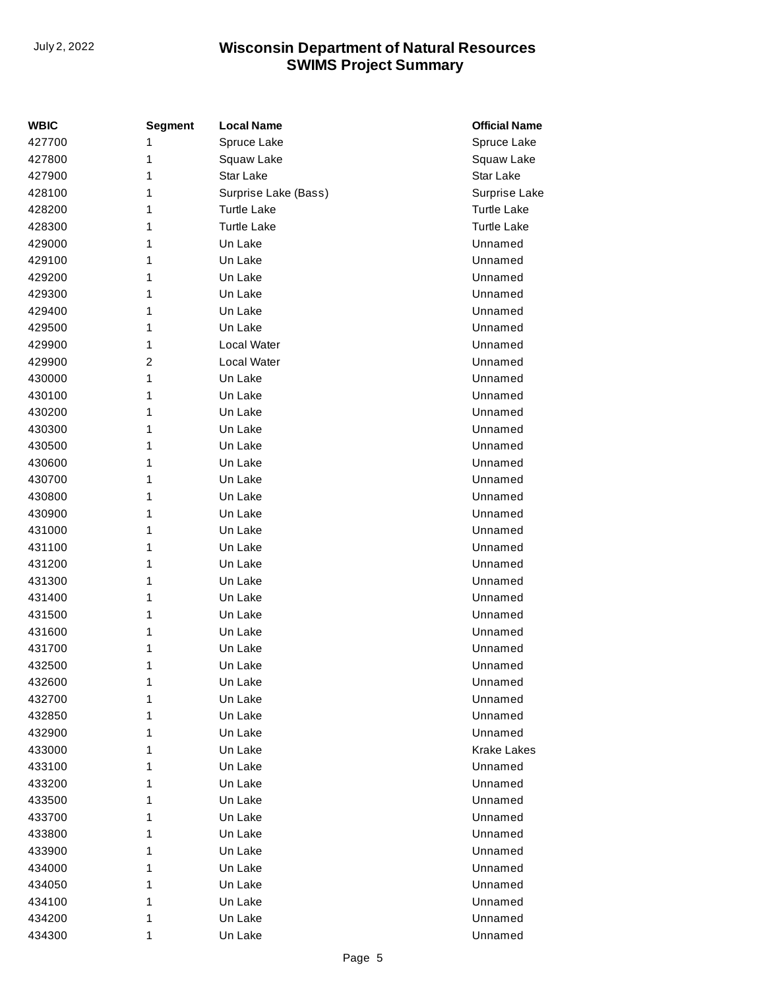| <b>WBIC</b> | <b>Segment</b> | <b>Local Name</b>    | <b>Official Name</b> |
|-------------|----------------|----------------------|----------------------|
| 427700      | 1              | Spruce Lake          | Spruce Lake          |
| 427800      | 1              | Squaw Lake           | Squaw Lake           |
| 427900      | 1              | Star Lake            | Star Lake            |
| 428100      | 1              | Surprise Lake (Bass) | Surprise Lake        |
| 428200      | 1              | <b>Turtle Lake</b>   | <b>Turtle Lake</b>   |
| 428300      | 1              | <b>Turtle Lake</b>   | <b>Turtle Lake</b>   |
| 429000      | 1              | Un Lake              | Unnamed              |
| 429100      | 1              | Un Lake              | Unnamed              |
| 429200      | 1              | Un Lake              | Unnamed              |
| 429300      | 1              | Un Lake              | Unnamed              |
| 429400      | 1              | Un Lake              | Unnamed              |
| 429500      | 1              | Un Lake              | Unnamed              |
| 429900      | 1              | Local Water          | Unnamed              |
| 429900      | $\overline{2}$ | Local Water          | Unnamed              |
| 430000      | 1              | Un Lake              | Unnamed              |
| 430100      | 1              | Un Lake              | Unnamed              |
| 430200      | 1              | Un Lake              | Unnamed              |
| 430300      | 1              | Un Lake              | Unnamed              |
| 430500      | 1              | Un Lake              | Unnamed              |
| 430600      | 1              | Un Lake              | Unnamed              |
| 430700      | 1              | Un Lake              | Unnamed              |
| 430800      | 1              | Un Lake              | Unnamed              |
| 430900      | 1              | Un Lake              | Unnamed              |
| 431000      | 1              | Un Lake              | Unnamed              |
| 431100      | 1              | Un Lake              | Unnamed              |
| 431200      | 1              | Un Lake              | Unnamed              |
| 431300      | 1              | Un Lake              | Unnamed              |
| 431400      | 1              | Un Lake              | Unnamed              |
| 431500      | 1              | Un Lake              | Unnamed              |
| 431600      | 1              | Un Lake              | Unnamed              |
| 431700      | 1              | Un Lake              | Unnamed              |
| 432500      | 1              | Un Lake              | Unnamed              |
| 432600      | 1              | Un Lake              | Unnamed              |
| 432700      | 1              | Un Lake              | Unnamed              |
| 432850      | 1              | Un Lake              | Unnamed              |
| 432900      | 1              | Un Lake              | Unnamed              |
| 433000      | 1              | Un Lake              | <b>Krake Lakes</b>   |
| 433100      | 1              | Un Lake              | Unnamed              |
| 433200      | 1              | Un Lake              | Unnamed              |
| 433500      | 1              | Un Lake              | Unnamed              |
| 433700      | 1              | Un Lake              | Unnamed              |
| 433800      | 1              | Un Lake              | Unnamed              |
| 433900      | 1              | Un Lake              | Unnamed              |
| 434000      | 1              | Un Lake              | Unnamed              |
| 434050      | 1              | Un Lake              | Unnamed              |
| 434100      | 1              | Un Lake              | Unnamed              |
| 434200      | 1              | Un Lake              | Unnamed              |
| 434300      | 1              | Un Lake              | Unnamed              |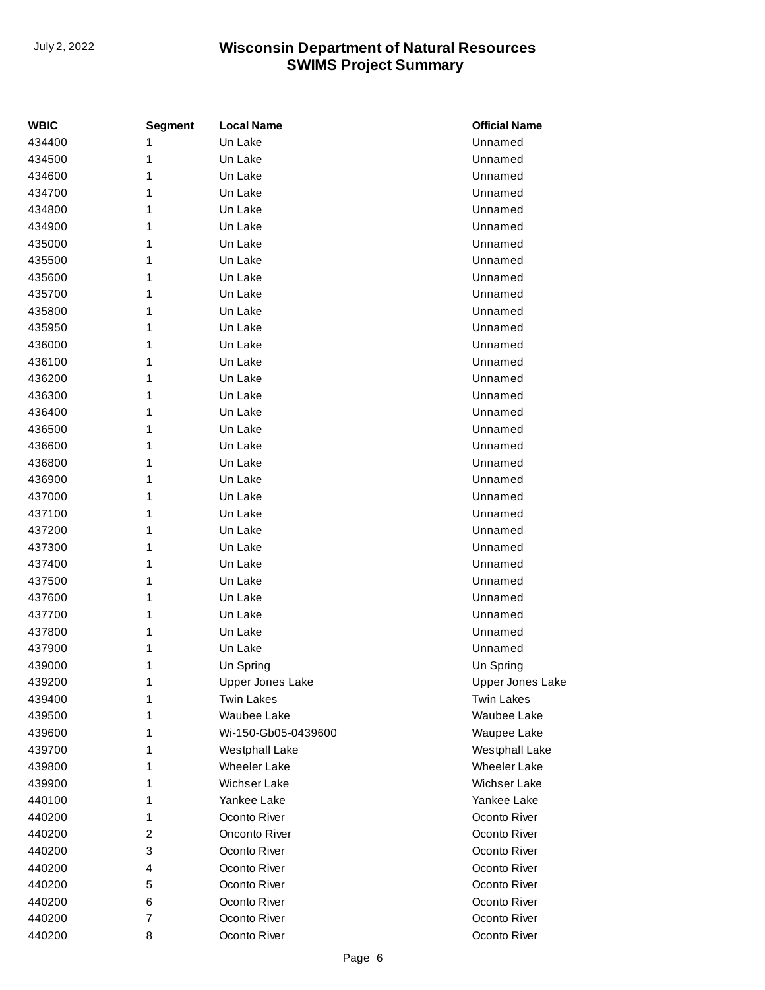| WBIC   | <b>Segment</b> | <b>Local Name</b>     | <b>Official Name</b>    |
|--------|----------------|-----------------------|-------------------------|
| 434400 | 1              | Un Lake               | Unnamed                 |
| 434500 | 1              | Un Lake               | Unnamed                 |
| 434600 | 1              | Un Lake               | Unnamed                 |
| 434700 | 1              | Un Lake               | Unnamed                 |
| 434800 | 1              | Un Lake               | Unnamed                 |
| 434900 | 1              | Un Lake               | Unnamed                 |
| 435000 | 1              | Un Lake               | Unnamed                 |
| 435500 | 1              | Un Lake               | Unnamed                 |
| 435600 | 1              | Un Lake               | Unnamed                 |
| 435700 | 1              | Un Lake               | Unnamed                 |
| 435800 | 1              | Un Lake               | Unnamed                 |
| 435950 | 1              | Un Lake               | Unnamed                 |
| 436000 | 1              | Un Lake               | Unnamed                 |
| 436100 | 1              | Un Lake               | Unnamed                 |
| 436200 | 1              | Un Lake               | Unnamed                 |
| 436300 | 1              | Un Lake               | Unnamed                 |
| 436400 | 1              | Un Lake               | Unnamed                 |
| 436500 | 1              | Un Lake               | Unnamed                 |
| 436600 | 1              | Un Lake               | Unnamed                 |
| 436800 | 1              | Un Lake               | Unnamed                 |
| 436900 | 1              | Un Lake               | Unnamed                 |
| 437000 | 1              | Un Lake               | Unnamed                 |
| 437100 | 1              | Un Lake               | Unnamed                 |
| 437200 | 1              | Un Lake               | Unnamed                 |
| 437300 | 1              | Un Lake               | Unnamed                 |
| 437400 | 1              | Un Lake               | Unnamed                 |
| 437500 | 1              | Un Lake               | Unnamed                 |
| 437600 | 1              | Un Lake               | Unnamed                 |
| 437700 | 1              | Un Lake               | Unnamed                 |
| 437800 | 1              | Un Lake               | Unnamed                 |
| 437900 | 1              | Un Lake               | Unnamed                 |
| 439000 | 1              | Un Spring             | Un Spring               |
| 439200 | 1              | Upper Jones Lake      | <b>Upper Jones Lake</b> |
| 439400 | 1              | <b>Twin Lakes</b>     | <b>Twin Lakes</b>       |
| 439500 | 1              | Waubee Lake           | Waubee Lake             |
| 439600 | 1              | Wi-150-Gb05-0439600   | Waupee Lake             |
| 439700 | 1              | <b>Westphall Lake</b> | Westphall Lake          |
| 439800 | 1              | <b>Wheeler Lake</b>   | <b>Wheeler Lake</b>     |
| 439900 | 1              | Wichser Lake          | Wichser Lake            |
| 440100 | 1              | Yankee Lake           | Yankee Lake             |
| 440200 | 1              | Oconto River          | Oconto River            |
| 440200 | 2              | Onconto River         | Oconto River            |
| 440200 | 3              | Oconto River          | Oconto River            |
| 440200 | 4              | Oconto River          | Oconto River            |
| 440200 | 5              | Oconto River          | Oconto River            |
| 440200 | 6              | Oconto River          | Oconto River            |
| 440200 | 7              | Oconto River          | Oconto River            |
| 440200 | 8              | Oconto River          | Oconto River            |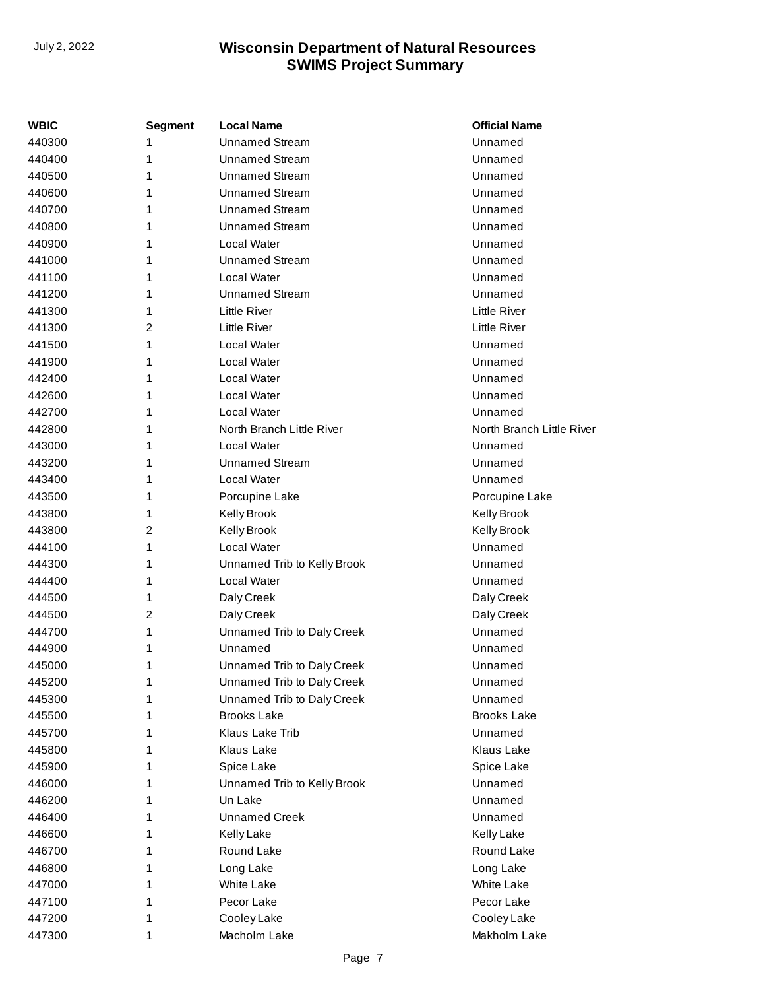| WBIC   | <b>Segment</b> | <b>Local Name</b>           | <b>Official Name</b>      |
|--------|----------------|-----------------------------|---------------------------|
| 440300 | 1              | <b>Unnamed Stream</b>       | Unnamed                   |
| 440400 | 1              | <b>Unnamed Stream</b>       | Unnamed                   |
| 440500 | 1              | <b>Unnamed Stream</b>       | Unnamed                   |
| 440600 | 1              | <b>Unnamed Stream</b>       | Unnamed                   |
| 440700 | 1              | <b>Unnamed Stream</b>       | Unnamed                   |
| 440800 | 1              | <b>Unnamed Stream</b>       | Unnamed                   |
| 440900 | 1              | Local Water                 | Unnamed                   |
| 441000 | 1              | <b>Unnamed Stream</b>       | Unnamed                   |
| 441100 | 1              | Local Water                 | Unnamed                   |
| 441200 | 1              | <b>Unnamed Stream</b>       | Unnamed                   |
| 441300 | 1              | Little River                | Little River              |
| 441300 | 2              | <b>Little River</b>         | Little River              |
| 441500 | 1              | Local Water                 | Unnamed                   |
| 441900 | 1              | Local Water                 | Unnamed                   |
| 442400 | 1              | Local Water                 | Unnamed                   |
| 442600 | 1              | Local Water                 | Unnamed                   |
| 442700 | 1              | Local Water                 | Unnamed                   |
| 442800 | 1              | North Branch Little River   | North Branch Little River |
| 443000 | 1              | Local Water                 | Unnamed                   |
| 443200 | 1              | <b>Unnamed Stream</b>       | Unnamed                   |
| 443400 | 1              | Local Water                 | Unnamed                   |
| 443500 | 1              | Porcupine Lake              | Porcupine Lake            |
| 443800 | 1              | Kelly Brook                 | Kelly Brook               |
| 443800 | 2              | Kelly Brook                 | Kelly Brook               |
| 444100 | 1              | Local Water                 | Unnamed                   |
| 444300 | 1              | Unnamed Trib to Kelly Brook | Unnamed                   |
| 444400 | 1              | Local Water                 | Unnamed                   |
| 444500 | 1              | Daly Creek                  | Daly Creek                |
| 444500 | 2              | Daly Creek                  | Daly Creek                |
| 444700 | 1              | Unnamed Trib to Daly Creek  | Unnamed                   |
| 444900 | 1              | Unnamed                     | Unnamed                   |
| 445000 | 1              | Unnamed Trib to Daly Creek  | Unnamed                   |
| 445200 | 1              | Unnamed Trib to Daly Creek  | Unnamed                   |
| 445300 | 1              | Unnamed Trib to Daly Creek  | Unnamed                   |
| 445500 | 1              | <b>Brooks Lake</b>          | <b>Brooks Lake</b>        |
| 445700 | 1              | Klaus Lake Trib             | Unnamed                   |
| 445800 | 1              | Klaus Lake                  | <b>Klaus Lake</b>         |
| 445900 | 1              | Spice Lake                  | Spice Lake                |
| 446000 | 1              | Unnamed Trib to Kelly Brook | Unnamed                   |
| 446200 | 1              | Un Lake                     | Unnamed                   |
| 446400 | 1              | <b>Unnamed Creek</b>        | Unnamed                   |
| 446600 | 1              | <b>Kelly Lake</b>           | <b>Kelly Lake</b>         |
| 446700 | 1              | Round Lake                  | Round Lake                |
| 446800 | 1              | Long Lake                   | Long Lake                 |
| 447000 | 1              | <b>White Lake</b>           | <b>White Lake</b>         |
| 447100 | 1              | Pecor Lake                  | Pecor Lake                |
| 447200 | 1              | Cooley Lake                 | Cooley Lake               |
| 447300 | 1              | Macholm Lake                | Makholm Lake              |
|        |                |                             |                           |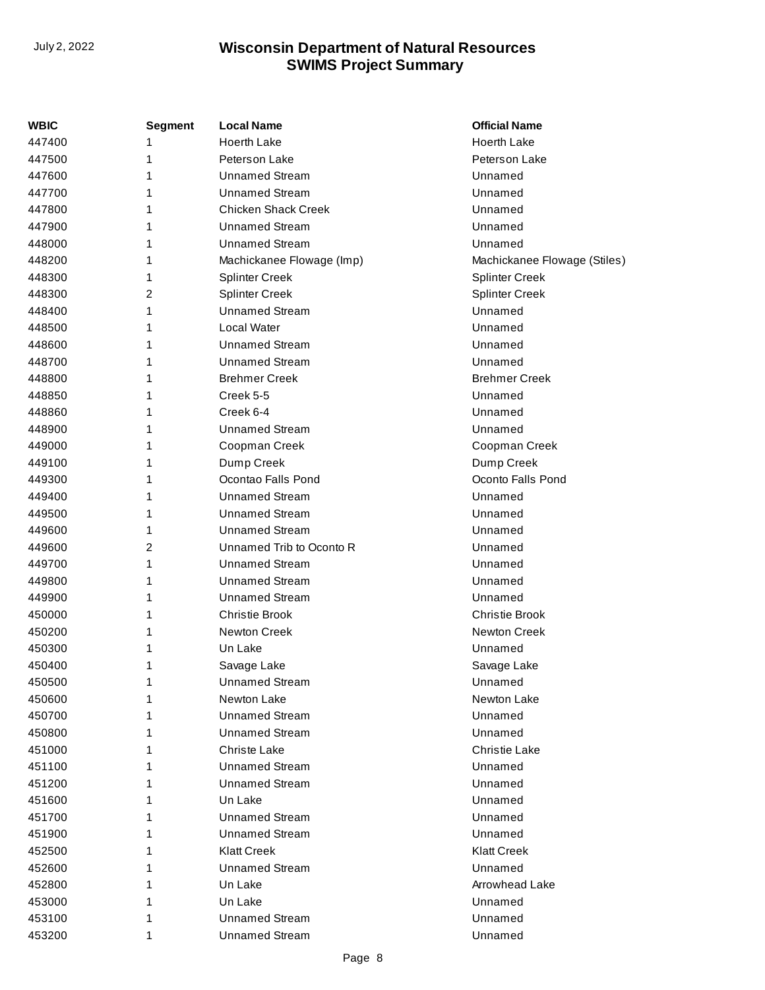| WBIC   | <b>Segment</b> | <b>Local Name</b>          | <b>Official Name</b>         |
|--------|----------------|----------------------------|------------------------------|
| 447400 |                | <b>Hoerth Lake</b>         | <b>Hoerth Lake</b>           |
| 447500 | 1              | Peterson Lake              | Peterson Lake                |
| 447600 | 1              | <b>Unnamed Stream</b>      | Unnamed                      |
| 447700 | 1              | <b>Unnamed Stream</b>      | Unnamed                      |
| 447800 | 1              | <b>Chicken Shack Creek</b> | Unnamed                      |
| 447900 | 1              | <b>Unnamed Stream</b>      | Unnamed                      |
| 448000 | 1              | <b>Unnamed Stream</b>      | Unnamed                      |
| 448200 | 1              | Machickanee Flowage (Imp)  | Machickanee Flowage (Stiles) |
| 448300 | 1              | <b>Splinter Creek</b>      | <b>Splinter Creek</b>        |
| 448300 | 2              | <b>Splinter Creek</b>      | <b>Splinter Creek</b>        |
| 448400 | 1              | <b>Unnamed Stream</b>      | Unnamed                      |
| 448500 | 1              | Local Water                | Unnamed                      |
| 448600 | 1              | <b>Unnamed Stream</b>      | Unnamed                      |
| 448700 | 1              | <b>Unnamed Stream</b>      | Unnamed                      |
| 448800 | 1              | <b>Brehmer Creek</b>       | <b>Brehmer Creek</b>         |
| 448850 | 1              | Creek 5-5                  | Unnamed                      |
| 448860 | 1              | Creek 6-4                  | Unnamed                      |
| 448900 | 1              | Unnamed Stream             | Unnamed                      |
| 449000 | 1              | Coopman Creek              | Coopman Creek                |
| 449100 | 1              | Dump Creek                 | Dump Creek                   |
| 449300 | 1              | Ocontao Falls Pond         | Oconto Falls Pond            |
| 449400 | 1              | <b>Unnamed Stream</b>      | Unnamed                      |
| 449500 | 1              | <b>Unnamed Stream</b>      | Unnamed                      |
| 449600 | 1              | <b>Unnamed Stream</b>      | Unnamed                      |
| 449600 | 2              | Unnamed Trib to Oconto R   | Unnamed                      |
| 449700 | 1              | <b>Unnamed Stream</b>      | Unnamed                      |
| 449800 | 1              | <b>Unnamed Stream</b>      | Unnamed                      |
| 449900 | 1              | <b>Unnamed Stream</b>      | Unnamed                      |
| 450000 | 1              | <b>Christie Brook</b>      | <b>Christie Brook</b>        |
| 450200 | 1              | Newton Creek               | <b>Newton Creek</b>          |
| 450300 | 1              | Un Lake                    | Unnamed                      |
| 450400 | 1              | Savage Lake                | Savage Lake                  |
| 450500 | 1              | Unnamed Stream             | Unnamed                      |
| 450600 | 1              | <b>Newton Lake</b>         | Newton Lake                  |
| 450700 | 1              | <b>Unnamed Stream</b>      | Unnamed                      |
| 450800 | 1              | Unnamed Stream             | Unnamed                      |
| 451000 | 1              | Christe Lake               | <b>Christie Lake</b>         |
| 451100 | 1              | Unnamed Stream             | Unnamed                      |
| 451200 | 1              | <b>Unnamed Stream</b>      | Unnamed                      |
| 451600 | 1              | Un Lake                    | Unnamed                      |
| 451700 | 1              | <b>Unnamed Stream</b>      | Unnamed                      |
| 451900 | 1              | Unnamed Stream             | Unnamed                      |
| 452500 | 1              | <b>Klatt Creek</b>         | <b>Klatt Creek</b>           |
| 452600 |                | Unnamed Stream             | Unnamed                      |
| 452800 |                | Un Lake                    | Arrowhead Lake               |
| 453000 |                | Un Lake                    | Unnamed                      |
| 453100 | 1              | <b>Unnamed Stream</b>      | Unnamed                      |
| 453200 | 1              | <b>Unnamed Stream</b>      | Unnamed                      |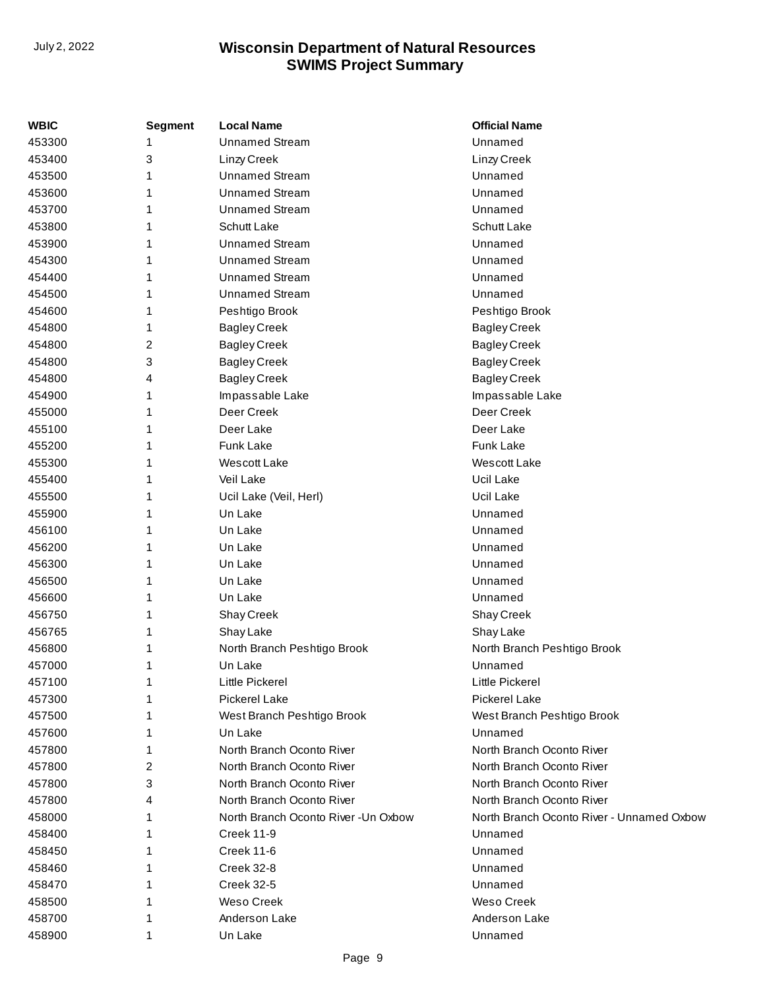| <b>WBIC</b> | Segment | <b>Local Name</b>                    | <b>Official Name</b>                      |
|-------------|---------|--------------------------------------|-------------------------------------------|
| 453300      | 1       | <b>Unnamed Stream</b>                | Unnamed                                   |
| 453400      | 3       | Linzy Creek                          | Linzy Creek                               |
| 453500      | 1       | <b>Unnamed Stream</b>                | Unnamed                                   |
| 453600      | 1       | <b>Unnamed Stream</b>                | Unnamed                                   |
| 453700      | 1       | <b>Unnamed Stream</b>                | Unnamed                                   |
| 453800      |         | <b>Schutt Lake</b>                   | Schutt Lake                               |
| 453900      | 1       | <b>Unnamed Stream</b>                | Unnamed                                   |
| 454300      | 1       | <b>Unnamed Stream</b>                | Unnamed                                   |
| 454400      | 1       | <b>Unnamed Stream</b>                | Unnamed                                   |
| 454500      | 1       | <b>Unnamed Stream</b>                | Unnamed                                   |
| 454600      | 1       | Peshtigo Brook                       | Peshtigo Brook                            |
| 454800      | 1       | <b>Bagley Creek</b>                  | <b>Bagley Creek</b>                       |
| 454800      | 2       | <b>Bagley Creek</b>                  | <b>Bagley Creek</b>                       |
| 454800      | 3       | <b>Bagley Creek</b>                  | <b>Bagley Creek</b>                       |
| 454800      | 4       | <b>Bagley Creek</b>                  | <b>Bagley Creek</b>                       |
| 454900      | 1       | Impassable Lake                      | Impassable Lake                           |
| 455000      | 1       | Deer Creek                           | Deer Creek                                |
| 455100      | 1       | Deer Lake                            | Deer Lake                                 |
| 455200      | 1       | Funk Lake                            | <b>Funk Lake</b>                          |
| 455300      | 1       | Wescott Lake                         | Wescott Lake                              |
| 455400      | 1       | Veil Lake                            | Ucil Lake                                 |
| 455500      |         | Ucil Lake (Veil, Herl)               | Ucil Lake                                 |
| 455900      | 1       | Un Lake                              | Unnamed                                   |
| 456100      | 1       | Un Lake                              | Unnamed                                   |
| 456200      | 1       | Un Lake                              | Unnamed                                   |
| 456300      |         | Un Lake                              | Unnamed                                   |
| 456500      | 1       | Un Lake                              | Unnamed                                   |
| 456600      | 1       | Un Lake                              | Unnamed                                   |
| 456750      | 1       | Shay Creek                           | Shay Creek                                |
| 456765      | 1       | Shay Lake                            | Shay Lake                                 |
| 456800      | 1       | North Branch Peshtigo Brook          | North Branch Peshtigo Brook               |
| 457000      | 1       | Un Lake                              | Unnamed                                   |
| 457100      | 1       | Little Pickerel                      | Little Pickerel                           |
| 457300      |         | <b>Pickerel Lake</b>                 | <b>Pickerel Lake</b>                      |
| 457500      |         | West Branch Peshtigo Brook           | West Branch Peshtigo Brook                |
| 457600      |         | Un Lake                              | Unnamed                                   |
| 457800      | 1       | North Branch Oconto River            | North Branch Oconto River                 |
| 457800      | 2       | North Branch Oconto River            | North Branch Oconto River                 |
| 457800      | 3       | North Branch Oconto River            | North Branch Oconto River                 |
| 457800      | 4       | North Branch Oconto River            | North Branch Oconto River                 |
| 458000      | 1       | North Branch Oconto River - Un Oxbow | North Branch Oconto River - Unnamed Oxbow |
| 458400      |         | <b>Creek 11-9</b>                    | Unnamed                                   |
| 458450      |         | <b>Creek 11-6</b>                    | Unnamed                                   |
| 458460      |         | <b>Creek 32-8</b>                    | Unnamed                                   |
| 458470      |         | <b>Creek 32-5</b>                    | Unnamed                                   |
| 458500      |         | Weso Creek                           | <b>Weso Creek</b>                         |
| 458700      |         | Anderson Lake                        | Anderson Lake                             |
| 458900      | 1       | Un Lake                              | Unnamed                                   |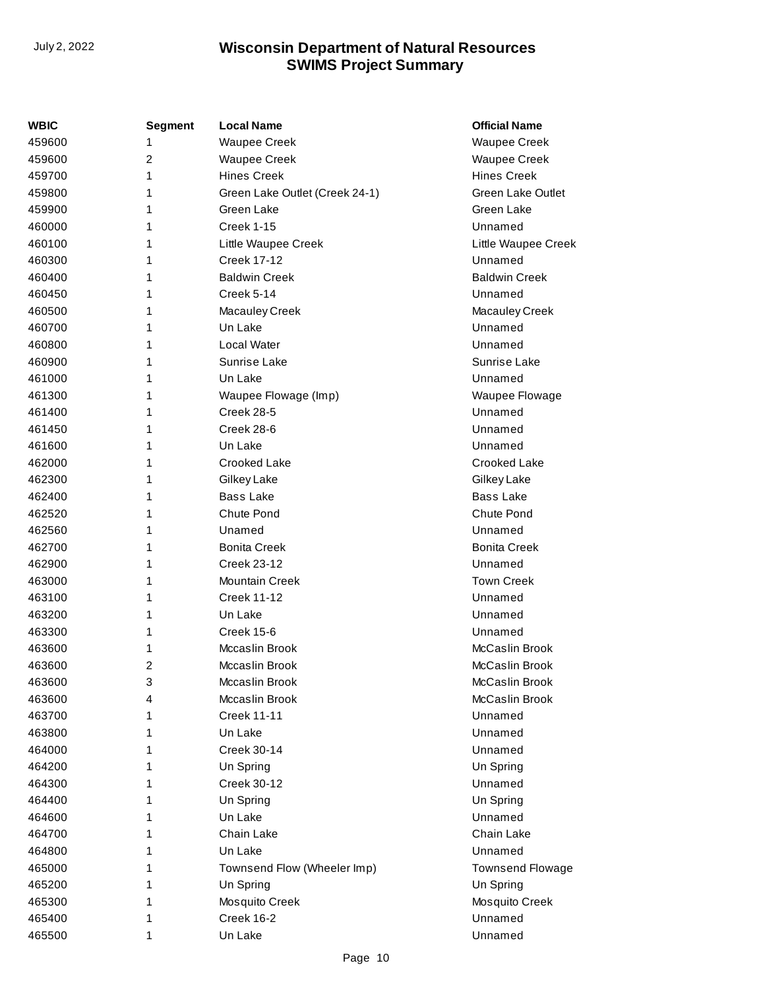| WBIC   | <b>Segment</b> | <b>Local Name</b>              | <b>Official Name</b>     |
|--------|----------------|--------------------------------|--------------------------|
| 459600 | 1              | <b>Waupee Creek</b>            | <b>Waupee Creek</b>      |
| 459600 | 2              | <b>Waupee Creek</b>            | <b>Waupee Creek</b>      |
| 459700 | 1              | <b>Hines Creek</b>             | <b>Hines Creek</b>       |
| 459800 | 1              | Green Lake Outlet (Creek 24-1) | <b>Green Lake Outlet</b> |
| 459900 | 1              | Green Lake                     | Green Lake               |
| 460000 | 1              | <b>Creek 1-15</b>              | Unnamed                  |
| 460100 | 1              | Little Waupee Creek            | Little Waupee Creek      |
| 460300 | 1              | <b>Creek 17-12</b>             | Unnamed                  |
| 460400 | 1              | <b>Baldwin Creek</b>           | <b>Baldwin Creek</b>     |
| 460450 | 1              | Creek 5-14                     | Unnamed                  |
| 460500 | 1              | Macauley Creek                 | Macauley Creek           |
| 460700 | 1              | Un Lake                        | Unnamed                  |
| 460800 | 1              | Local Water                    | Unnamed                  |
| 460900 | 1              | Sunrise Lake                   | Sunrise Lake             |
| 461000 | 1              | Un Lake                        | Unnamed                  |
| 461300 | 1              | Waupee Flowage (Imp)           | Waupee Flowage           |
| 461400 | 1              | Creek 28-5                     | Unnamed                  |
| 461450 | 1              | Creek 28-6                     | Unnamed                  |
| 461600 | 1              | Un Lake                        | Unnamed                  |
| 462000 | 1              | Crooked Lake                   | Crooked Lake             |
| 462300 | 1              | Gilkey Lake                    | Gilkey Lake              |
| 462400 | 1              | <b>Bass Lake</b>               | <b>Bass Lake</b>         |
| 462520 | 1              | Chute Pond                     | Chute Pond               |
| 462560 | 1              | Unamed                         | Unnamed                  |
| 462700 | 1              | <b>Bonita Creek</b>            | <b>Bonita Creek</b>      |
| 462900 | 1              | <b>Creek 23-12</b>             | Unnamed                  |
| 463000 | 1              | <b>Mountain Creek</b>          | <b>Town Creek</b>        |
| 463100 | 1              | <b>Creek 11-12</b>             | Unnamed                  |
| 463200 | 1              | Un Lake                        | Unnamed                  |
| 463300 | 1              | Creek 15-6                     | Unnamed                  |
| 463600 | 1              | Mccaslin Brook                 | McCaslin Brook           |
| 463600 | 2              | Mccaslin Brook                 | McCaslin Brook           |
| 463600 | 3              | Mccaslin Brook                 | McCaslin Brook           |
| 463600 | 4              | Mccaslin Brook                 | McCaslin Brook           |
| 463700 | 1              | <b>Creek 11-11</b>             | Unnamed                  |
| 463800 | 1              | Un Lake                        | Unnamed                  |
| 464000 | 1              | Creek 30-14                    | Unnamed                  |
| 464200 | 1              | Un Spring                      | Un Spring                |
| 464300 | 1              | Creek 30-12                    | Unnamed                  |
| 464400 | 1              | Un Spring                      | Un Spring                |
| 464600 | 1              | Un Lake                        | Unnamed                  |
| 464700 | 1              | Chain Lake                     | Chain Lake               |
| 464800 | 1              | Un Lake                        | Unnamed                  |
| 465000 | 1              | Townsend Flow (Wheeler Imp)    | <b>Townsend Flowage</b>  |
| 465200 | 1              | Un Spring                      | Un Spring                |
| 465300 | 1              | Mosquito Creek                 | Mosquito Creek           |
| 465400 | 1              | Creek 16-2                     | Unnamed                  |
| 465500 | 1              | Un Lake                        | Unnamed                  |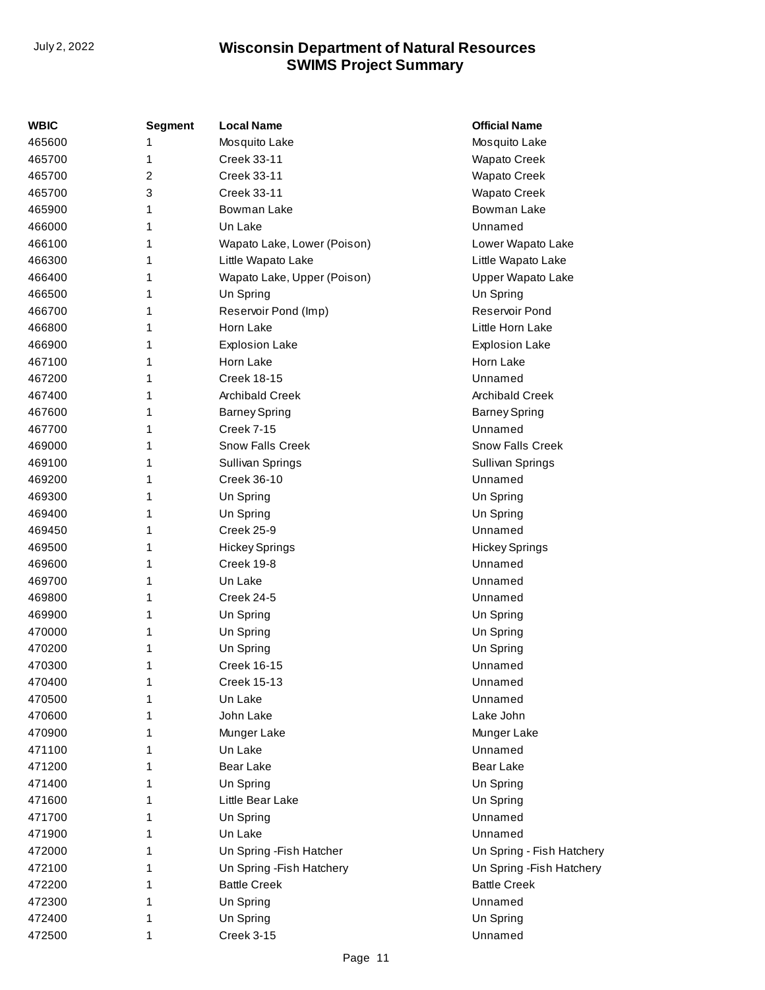| WBIC   | <b>Segment</b> | <b>Local Name</b>           | <b>Official Name</b>      |
|--------|----------------|-----------------------------|---------------------------|
| 465600 | 1              | Mosquito Lake               | Mosquito Lake             |
| 465700 | 1              | Creek 33-11                 | <b>Wapato Creek</b>       |
| 465700 | 2              | Creek 33-11                 | <b>Wapato Creek</b>       |
| 465700 | 3              | Creek 33-11                 | <b>Wapato Creek</b>       |
| 465900 | 1              | Bowman Lake                 | Bowman Lake               |
| 466000 | 1              | Un Lake                     | Unnamed                   |
| 466100 | 1              | Wapato Lake, Lower (Poison) | Lower Wapato Lake         |
| 466300 | 1              | Little Wapato Lake          | Little Wapato Lake        |
| 466400 | 1              | Wapato Lake, Upper (Poison) | Upper Wapato Lake         |
| 466500 | 1              | Un Spring                   | Un Spring                 |
| 466700 | 1              | Reservoir Pond (Imp)        | Reservoir Pond            |
| 466800 | 1              | Horn Lake                   | Little Horn Lake          |
| 466900 | 1              | <b>Explosion Lake</b>       | <b>Explosion Lake</b>     |
| 467100 | 1              | Horn Lake                   | Horn Lake                 |
| 467200 | 1              | <b>Creek 18-15</b>          | Unnamed                   |
| 467400 | 1              | <b>Archibald Creek</b>      | <b>Archibald Creek</b>    |
| 467600 | 1              | <b>Barney Spring</b>        | <b>Barney Spring</b>      |
| 467700 | 1              | <b>Creek 7-15</b>           | Unnamed                   |
| 469000 | 1              | <b>Snow Falls Creek</b>     | <b>Snow Falls Creek</b>   |
| 469100 | 1              | Sullivan Springs            | Sullivan Springs          |
| 469200 | 1              | Creek 36-10                 | Unnamed                   |
| 469300 | 1              | Un Spring                   | Un Spring                 |
| 469400 | 1              | Un Spring                   | Un Spring                 |
| 469450 | 1              | <b>Creek 25-9</b>           | Unnamed                   |
| 469500 | 1              | <b>Hickey Springs</b>       | <b>Hickey Springs</b>     |
| 469600 | 1              | Creek 19-8                  | Unnamed                   |
| 469700 | 1              | Un Lake                     | Unnamed                   |
| 469800 | 1              | Creek 24-5                  | Unnamed                   |
| 469900 | 1              | Un Spring                   | Un Spring                 |
| 470000 | 1              | Un Spring                   | Un Spring                 |
| 470200 | 1              | Un Spring                   | Un Spring                 |
| 470300 | 1              | <b>Creek 16-15</b>          | Unnamed                   |
| 470400 | 1              | <b>Creek 15-13</b>          | Unnamed                   |
| 470500 | 1              | Un Lake                     | Unnamed                   |
| 470600 | 1              | John Lake                   | Lake John                 |
| 470900 | 1              | Munger Lake                 | Munger Lake               |
| 471100 | 1              | Un Lake                     | Unnamed                   |
| 471200 | 1              | <b>Bear Lake</b>            | <b>Bear Lake</b>          |
| 471400 | 1              | Un Spring                   | Un Spring                 |
| 471600 | 1              | Little Bear Lake            | Un Spring                 |
| 471700 | 1              | Un Spring                   | Unnamed                   |
| 471900 | 1              | Un Lake                     | Unnamed                   |
| 472000 | 1              | Un Spring - Fish Hatcher    | Un Spring - Fish Hatchery |
| 472100 | 1              | Un Spring - Fish Hatchery   | Un Spring - Fish Hatchery |
| 472200 | 1              | <b>Battle Creek</b>         | <b>Battle Creek</b>       |
| 472300 | 1              | Un Spring                   | Unnamed                   |
| 472400 | 1              | Un Spring                   | Un Spring                 |
| 472500 | 1              | Creek 3-15                  | Unnamed                   |
|        |                |                             |                           |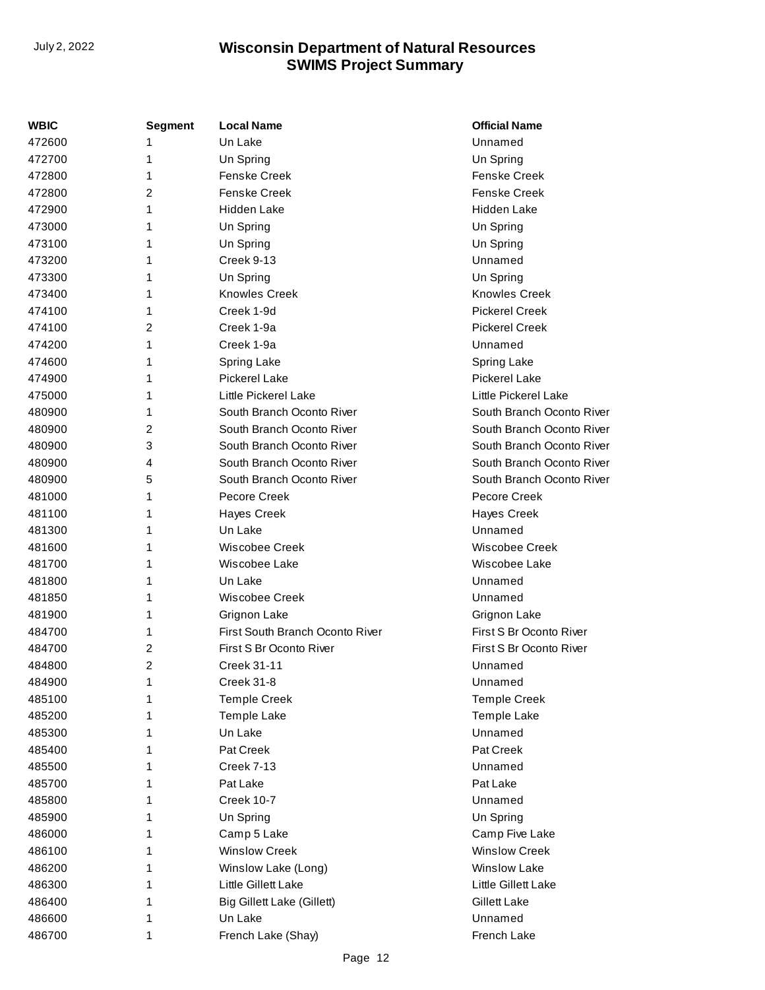| WBIC   | Segment        | <b>Local Name</b>               | <b>Official Name</b>      |
|--------|----------------|---------------------------------|---------------------------|
| 472600 | 1              | Un Lake                         | Unnamed                   |
| 472700 | 1              | Un Spring                       | Un Spring                 |
| 472800 | 1              | <b>Fenske Creek</b>             | <b>Fenske Creek</b>       |
| 472800 | $\overline{2}$ | <b>Fenske Creek</b>             | <b>Fenske Creek</b>       |
| 472900 | 1              | Hidden Lake                     | <b>Hidden Lake</b>        |
| 473000 | 1              | Un Spring                       | Un Spring                 |
| 473100 | 1              | Un Spring                       | Un Spring                 |
| 473200 | 1              | Creek 9-13                      | Unnamed                   |
| 473300 | 1              | Un Spring                       | Un Spring                 |
| 473400 | 1              | <b>Knowles Creek</b>            | <b>Knowles Creek</b>      |
| 474100 | 1              | Creek 1-9d                      | <b>Pickerel Creek</b>     |
| 474100 | 2              | Creek 1-9a                      | <b>Pickerel Creek</b>     |
| 474200 | 1              | Creek 1-9a                      | Unnamed                   |
| 474600 | 1              | Spring Lake                     | Spring Lake               |
| 474900 | 1              | <b>Pickerel Lake</b>            | <b>Pickerel Lake</b>      |
| 475000 | 1              | Little Pickerel Lake            | Little Pickerel Lake      |
| 480900 | 1              | South Branch Oconto River       | South Branch Oconto River |
| 480900 | 2              | South Branch Oconto River       | South Branch Oconto River |
| 480900 | 3              | South Branch Oconto River       | South Branch Oconto River |
| 480900 | 4              | South Branch Oconto River       | South Branch Oconto River |
| 480900 | 5              | South Branch Oconto River       | South Branch Oconto River |
| 481000 | 1              | Pecore Creek                    | Pecore Creek              |
| 481100 | 1              | <b>Hayes Creek</b>              | <b>Hayes Creek</b>        |
| 481300 | 1              | Un Lake                         | Unnamed                   |
| 481600 | 1              | Wiscobee Creek                  | Wiscobee Creek            |
| 481700 | 1              | Wiscobee Lake                   | Wiscobee Lake             |
| 481800 | 1              | Un Lake                         | Unnamed                   |
| 481850 | 1              | Wiscobee Creek                  | Unnamed                   |
| 481900 | 1              | Grignon Lake                    | Grignon Lake              |
| 484700 | 1              | First South Branch Oconto River | First S Br Oconto River   |
| 484700 | $\overline{2}$ | First S Br Oconto River         | First S Br Oconto River   |
| 484800 | 2              | <b>Creek 31-11</b>              | Unnamed                   |
| 484900 | 1              | Creek 31-8                      | Unnamed                   |
| 485100 | 1              | <b>Temple Creek</b>             | <b>Temple Creek</b>       |
| 485200 | 1              | Temple Lake                     | Temple Lake               |
| 485300 | 1              | Un Lake                         | Unnamed                   |
| 485400 | 1              | Pat Creek                       | Pat Creek                 |
| 485500 | 1              | <b>Creek 7-13</b>               | Unnamed                   |
| 485700 | 1              | Pat Lake                        | Pat Lake                  |
| 485800 | 1              | Creek 10-7                      | Unnamed                   |
| 485900 | 1              | Un Spring                       | Un Spring                 |
| 486000 | 1              | Camp 5 Lake                     | Camp Five Lake            |
| 486100 | 1              | <b>Winslow Creek</b>            | <b>Winslow Creek</b>      |
| 486200 | 1              | Winslow Lake (Long)             | <b>Winslow Lake</b>       |
| 486300 | 1              | Little Gillett Lake             | Little Gillett Lake       |
| 486400 | 1              | Big Gillett Lake (Gillett)      | <b>Gillett Lake</b>       |
| 486600 | 1              | Un Lake                         | Unnamed                   |
| 486700 | 1              | French Lake (Shay)              | French Lake               |
|        |                |                                 |                           |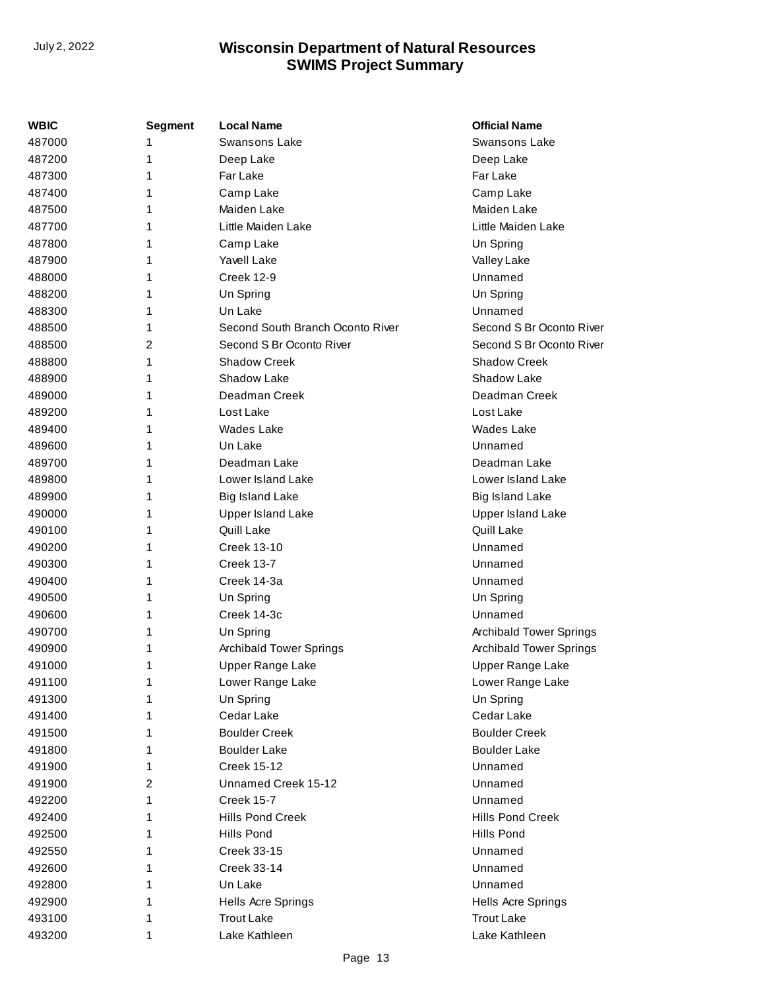| WBIC   | <b>Segment</b> | <b>Local Name</b>                | <b>Official Name</b>           |
|--------|----------------|----------------------------------|--------------------------------|
| 487000 | 1              | <b>Swansons Lake</b>             | <b>Swansons Lake</b>           |
| 487200 | 1              | Deep Lake                        | Deep Lake                      |
| 487300 | 1              | Far Lake                         | Far Lake                       |
| 487400 | 1              | Camp Lake                        | Camp Lake                      |
| 487500 | 1              | Maiden Lake                      | Maiden Lake                    |
| 487700 | 1              | Little Maiden Lake               | Little Maiden Lake             |
| 487800 |                | Camp Lake                        | Un Spring                      |
| 487900 | 1              | Yavell Lake                      | Valley Lake                    |
| 488000 | 1              | <b>Creek 12-9</b>                | Unnamed                        |
| 488200 | 1              | Un Spring                        | Un Spring                      |
| 488300 | 1              | Un Lake                          | Unnamed                        |
| 488500 | 1              | Second South Branch Oconto River | Second S Br Oconto River       |
| 488500 | 2              | Second S Br Oconto River         | Second S Br Oconto River       |
| 488800 | 1              | <b>Shadow Creek</b>              | <b>Shadow Creek</b>            |
| 488900 | 1              | Shadow Lake                      | Shadow Lake                    |
| 489000 | 1              | Deadman Creek                    | Deadman Creek                  |
| 489200 | 1              | Lost Lake                        | Lost Lake                      |
| 489400 | 1              | <b>Wades Lake</b>                | <b>Wades Lake</b>              |
| 489600 | 1              | Un Lake                          | Unnamed                        |
| 489700 | 1              | Deadman Lake                     | Deadman Lake                   |
| 489800 | 1              | Lower Island Lake                | Lower Island Lake              |
| 489900 | 1              | <b>Big Island Lake</b>           | <b>Big Island Lake</b>         |
| 490000 |                | <b>Upper Island Lake</b>         | <b>Upper Island Lake</b>       |
| 490100 | 1              | Quill Lake                       | Quill Lake                     |
| 490200 | 1              | <b>Creek 13-10</b>               | Unnamed                        |
| 490300 | 1              | <b>Creek 13-7</b>                | Unnamed                        |
| 490400 | 1              | Creek 14-3a                      | Unnamed                        |
| 490500 | 1              | Un Spring                        | Un Spring                      |
| 490600 | 1              | Creek 14-3c                      | Unnamed                        |
| 490700 | 1              | Un Spring                        | <b>Archibald Tower Springs</b> |
| 490900 | 1              | <b>Archibald Tower Springs</b>   | <b>Archibald Tower Springs</b> |
| 491000 | 1              | Upper Range Lake                 | Upper Range Lake               |
| 491100 | 1              | Lower Range Lake                 | Lower Range Lake               |
| 491300 |                | Un Spring                        | Un Spring                      |
| 491400 |                | Cedar Lake                       | Cedar Lake                     |
| 491500 | 1              | <b>Boulder Creek</b>             | <b>Boulder Creek</b>           |
| 491800 | 1              | <b>Boulder Lake</b>              | <b>Boulder Lake</b>            |
| 491900 | 1              | <b>Creek 15-12</b>               | Unnamed                        |
| 491900 | 2              | Unnamed Creek 15-12              | Unnamed                        |
| 492200 | 1              | <b>Creek 15-7</b>                | Unnamed                        |
| 492400 | 1              | Hills Pond Creek                 | Hills Pond Creek               |
| 492500 | 1              | Hills Pond                       | Hills Pond                     |
| 492550 |                | Creek 33-15                      | Unnamed                        |
| 492600 | 1              | Creek 33-14                      | Unnamed                        |
| 492800 | 1              | Un Lake                          | Unnamed                        |
| 492900 | 1              | Hells Acre Springs               | <b>Hells Acre Springs</b>      |
| 493100 |                | <b>Trout Lake</b>                | <b>Trout Lake</b>              |
| 493200 | 1              | Lake Kathleen                    | Lake Kathleen                  |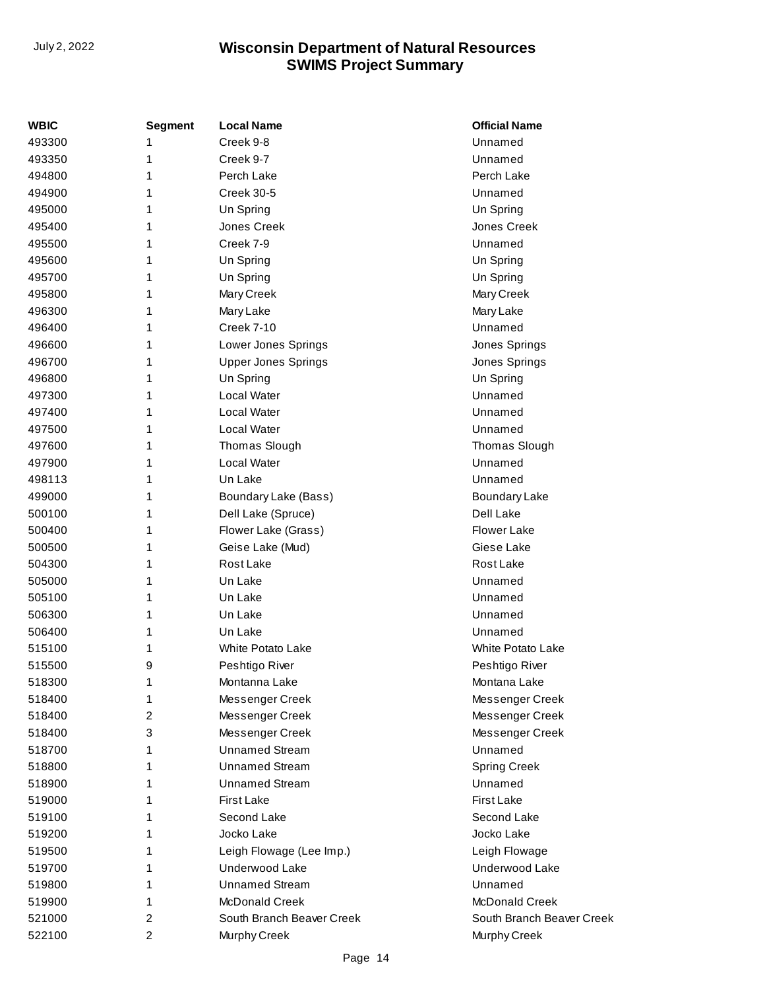| <b>WBIC</b> | <b>Segment</b> | <b>Local Name</b>          | <b>Official Name</b>      |
|-------------|----------------|----------------------------|---------------------------|
| 493300      | 1              | Creek 9-8                  | Unnamed                   |
| 493350      | 1              | Creek 9-7                  | Unnamed                   |
| 494800      | 1              | Perch Lake                 | Perch Lake                |
| 494900      | 1              | <b>Creek 30-5</b>          | Unnamed                   |
| 495000      | 1              | Un Spring                  | Un Spring                 |
| 495400      | 1              | Jones Creek                | Jones Creek               |
| 495500      | 1              | Creek 7-9                  | Unnamed                   |
| 495600      | 1              | Un Spring                  | Un Spring                 |
| 495700      | 1              | Un Spring                  | Un Spring                 |
| 495800      | 1              | Mary Creek                 | Mary Creek                |
| 496300      | 1              | Mary Lake                  | Mary Lake                 |
| 496400      | 1              | Creek 7-10                 | Unnamed                   |
| 496600      | 1              | Lower Jones Springs        | Jones Springs             |
| 496700      | 1              | <b>Upper Jones Springs</b> | Jones Springs             |
| 496800      | 1              | Un Spring                  | Un Spring                 |
| 497300      | 1              | Local Water                | Unnamed                   |
| 497400      | 1              | Local Water                | Unnamed                   |
| 497500      | 1              | Local Water                | Unnamed                   |
| 497600      | 1              | Thomas Slough              | Thomas Slough             |
| 497900      | 1              | Local Water                | Unnamed                   |
| 498113      | 1              | Un Lake                    | Unnamed                   |
| 499000      | 1              | Boundary Lake (Bass)       | <b>Boundary Lake</b>      |
| 500100      | 1              | Dell Lake (Spruce)         | Dell Lake                 |
| 500400      | 1              | Flower Lake (Grass)        | Flower Lake               |
| 500500      | 1              | Geise Lake (Mud)           | Giese Lake                |
| 504300      | 1              | Rost Lake                  | Rost Lake                 |
| 505000      | 1              | Un Lake                    | Unnamed                   |
| 505100      | 1              | Un Lake                    | Unnamed                   |
| 506300      | 1              | Un Lake                    | Unnamed                   |
| 506400      | 1              | Un Lake                    | Unnamed                   |
| 515100      | 1              | White Potato Lake          | <b>White Potato Lake</b>  |
| 515500      | 9              | Peshtigo River             | Peshtigo River            |
| 518300      | 1              | Montanna Lake              | Montana Lake              |
| 518400      | 1              | Messenger Creek            | Messenger Creek           |
| 518400      | 2              | Messenger Creek            | Messenger Creek           |
| 518400      | 3              | Messenger Creek            | Messenger Creek           |
| 518700      | 1              | <b>Unnamed Stream</b>      | Unnamed                   |
| 518800      | 1              | <b>Unnamed Stream</b>      | <b>Spring Creek</b>       |
| 518900      | 1              | <b>Unnamed Stream</b>      | Unnamed                   |
| 519000      | 1              | First Lake                 | <b>First Lake</b>         |
| 519100      | 1              | Second Lake                | Second Lake               |
| 519200      | 1              | Jocko Lake                 | Jocko Lake                |
| 519500      | 1              | Leigh Flowage (Lee Imp.)   | Leigh Flowage             |
| 519700      | 1              | Underwood Lake             | Underwood Lake            |
| 519800      | 1              | <b>Unnamed Stream</b>      | Unnamed                   |
| 519900      | 1              | <b>McDonald Creek</b>      | <b>McDonald Creek</b>     |
| 521000      | $\overline{2}$ | South Branch Beaver Creek  | South Branch Beaver Creek |
| 522100      | 2              | Murphy Creek               | Murphy Creek              |
|             |                |                            |                           |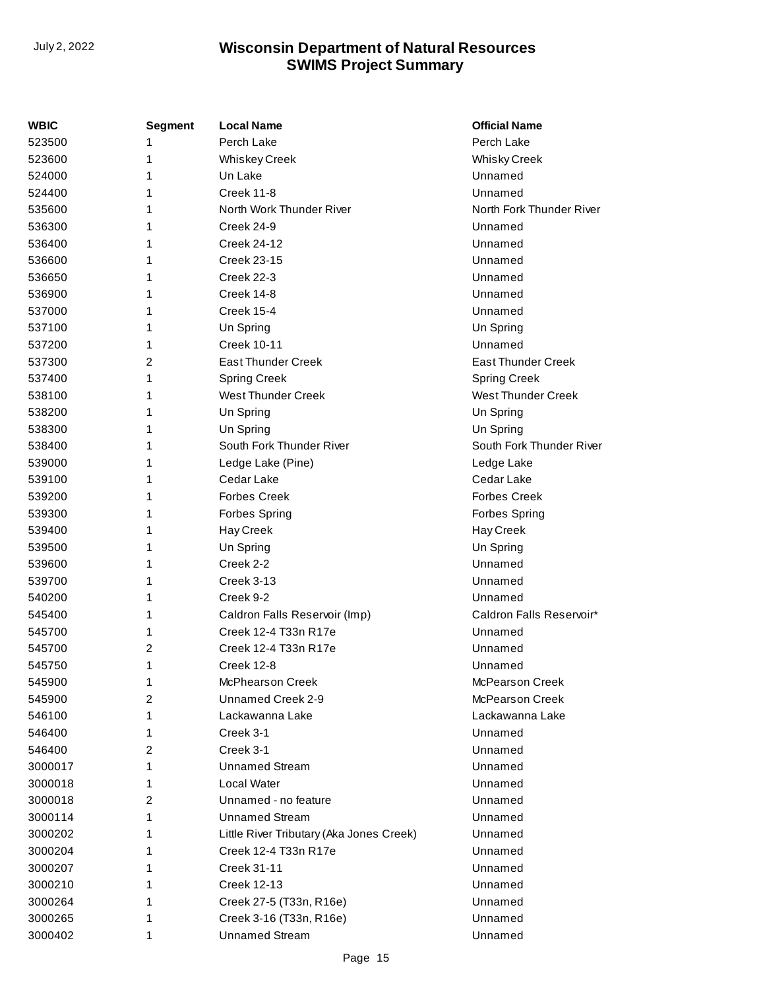| WBIC    | <b>Segment</b> | <b>Local Name</b>                        | <b>Official Name</b>      |
|---------|----------------|------------------------------------------|---------------------------|
| 523500  | 1              | Perch Lake                               | Perch Lake                |
| 523600  | 1              | Whiskey Creek                            | <b>Whisky Creek</b>       |
| 524000  | 1              | Un Lake                                  | Unnamed                   |
| 524400  | 1              | Creek 11-8                               | Unnamed                   |
| 535600  | 1              | North Work Thunder River                 | North Fork Thunder River  |
| 536300  | 1              | Creek 24-9                               | Unnamed                   |
| 536400  | 1              | <b>Creek 24-12</b>                       | Unnamed                   |
| 536600  | 1              | <b>Creek 23-15</b>                       | Unnamed                   |
| 536650  | 1              | Creek 22-3                               | Unnamed                   |
| 536900  | 1              | Creek 14-8                               | Unnamed                   |
| 537000  | 1              | <b>Creek 15-4</b>                        | Unnamed                   |
| 537100  | 1              | Un Spring                                | Un Spring                 |
| 537200  | 1              | <b>Creek 10-11</b>                       | Unnamed                   |
| 537300  | 2              | <b>East Thunder Creek</b>                | <b>East Thunder Creek</b> |
| 537400  | 1              | <b>Spring Creek</b>                      | <b>Spring Creek</b>       |
| 538100  | 1              | <b>West Thunder Creek</b>                | <b>West Thunder Creek</b> |
| 538200  | 1              | Un Spring                                | Un Spring                 |
| 538300  | 1              | Un Spring                                | Un Spring                 |
| 538400  | 1              | South Fork Thunder River                 | South Fork Thunder River  |
| 539000  | 1              | Ledge Lake (Pine)                        | Ledge Lake                |
| 539100  | 1              | Cedar Lake                               | Cedar Lake                |
| 539200  | 1              | <b>Forbes Creek</b>                      | <b>Forbes Creek</b>       |
| 539300  | 1              | <b>Forbes Spring</b>                     | <b>Forbes Spring</b>      |
| 539400  | 1              | Hay Creek                                | Hay Creek                 |
| 539500  | 1              | Un Spring                                | Un Spring                 |
| 539600  | 1              | Creek 2-2                                | Unnamed                   |
| 539700  | 1              | <b>Creek 3-13</b>                        | Unnamed                   |
| 540200  | 1              | Creek 9-2                                | Unnamed                   |
| 545400  | 1              | Caldron Falls Reservoir (Imp)            | Caldron Falls Reservoir*  |
| 545700  | 1              | Creek 12-4 T33n R17e                     | Unnamed                   |
| 545700  | 2              | Creek 12-4 T33n R17e                     | Unnamed                   |
| 545750  | 1              | Creek 12-8                               | Unnamed                   |
| 545900  | 1              | McPhearson Creek                         | McPearson Creek           |
| 545900  | 2              | Unnamed Creek 2-9                        | McPearson Creek           |
| 546100  | 1              | Lackawanna Lake                          | Lackawanna Lake           |
| 546400  | 1              | Creek 3-1                                | Unnamed                   |
| 546400  | 2              | Creek 3-1                                | Unnamed                   |
| 3000017 | 1              | <b>Unnamed Stream</b>                    | Unnamed                   |
| 3000018 | 1              | Local Water                              | Unnamed                   |
| 3000018 | 2              | Unnamed - no feature                     | Unnamed                   |
| 3000114 | 1              | <b>Unnamed Stream</b>                    | Unnamed                   |
| 3000202 | 1              | Little River Tributary (Aka Jones Creek) | Unnamed                   |
| 3000204 | 1              | Creek 12-4 T33n R17e                     | Unnamed                   |
| 3000207 | 1              | Creek 31-11                              | Unnamed                   |
| 3000210 | 1              | <b>Creek 12-13</b>                       | Unnamed                   |
| 3000264 | 1              | Creek 27-5 (T33n, R16e)                  | Unnamed                   |
| 3000265 | 1              | Creek 3-16 (T33n, R16e)                  | Unnamed                   |
| 3000402 | 1              | <b>Unnamed Stream</b>                    | Unnamed                   |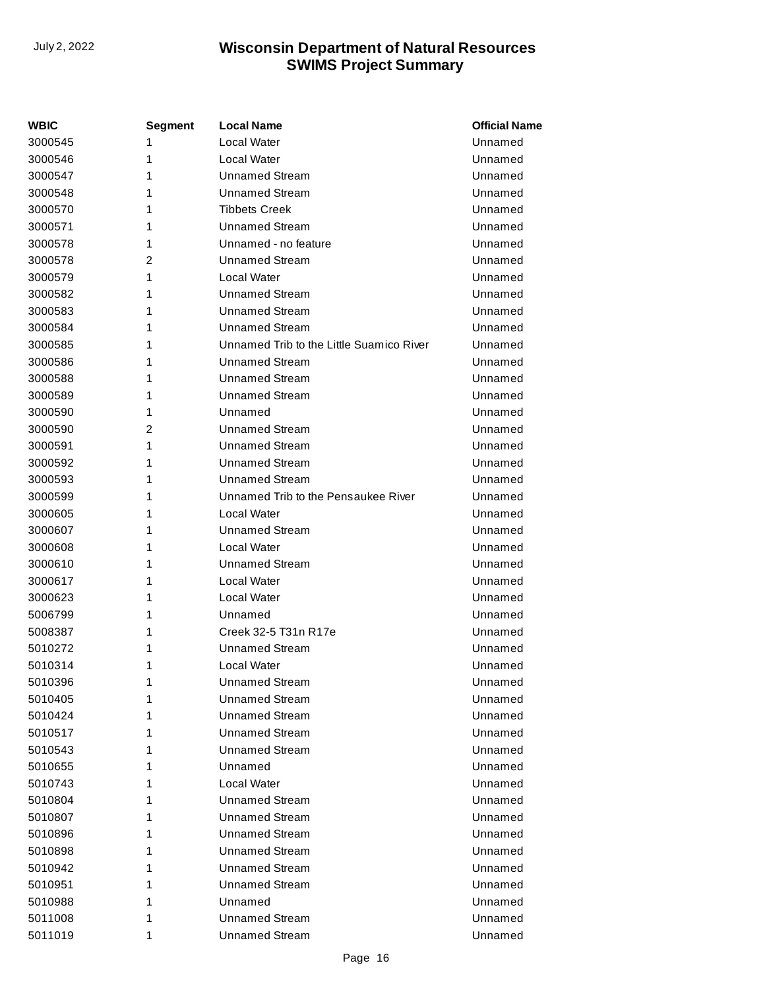| <b>WBIC</b> | <b>Segment</b> | <b>Local Name</b>                        | <b>Official Name</b> |
|-------------|----------------|------------------------------------------|----------------------|
| 3000545     | 1              | Local Water                              | Unnamed              |
| 3000546     | 1              | Local Water                              | Unnamed              |
| 3000547     | 1              | Unnamed Stream                           | Unnamed              |
| 3000548     | 1              | <b>Unnamed Stream</b>                    | Unnamed              |
| 3000570     | 1              | <b>Tibbets Creek</b>                     | Unnamed              |
| 3000571     | 1              | <b>Unnamed Stream</b>                    | Unnamed              |
| 3000578     | 1              | Unnamed - no feature                     | Unnamed              |
| 3000578     | 2              | <b>Unnamed Stream</b>                    | Unnamed              |
| 3000579     | 1              | Local Water                              | Unnamed              |
| 3000582     | 1              | Unnamed Stream                           | Unnamed              |
| 3000583     | 1              | <b>Unnamed Stream</b>                    | Unnamed              |
| 3000584     | 1              | <b>Unnamed Stream</b>                    | Unnamed              |
| 3000585     | 1              | Unnamed Trib to the Little Suamico River | Unnamed              |
| 3000586     | 1              | <b>Unnamed Stream</b>                    | Unnamed              |
| 3000588     | 1              | Unnamed Stream                           | Unnamed              |
| 3000589     | 1              | <b>Unnamed Stream</b>                    | Unnamed              |
| 3000590     | 1              | Unnamed                                  | Unnamed              |
| 3000590     | $\overline{2}$ | Unnamed Stream                           | Unnamed              |
| 3000591     | 1              | <b>Unnamed Stream</b>                    | Unnamed              |
| 3000592     | 1              | <b>Unnamed Stream</b>                    | Unnamed              |
| 3000593     | 1              | <b>Unnamed Stream</b>                    | Unnamed              |
| 3000599     | 1              | Unnamed Trib to the Pensaukee River      | Unnamed              |
| 3000605     | 1              | Local Water                              | Unnamed              |
| 3000607     | 1              | Unnamed Stream                           | Unnamed              |
| 3000608     | 1              | Local Water                              | Unnamed              |
| 3000610     | 1              | Unnamed Stream                           | Unnamed              |
| 3000617     | 1              | Local Water                              | Unnamed              |
| 3000623     | 1              | Local Water                              | Unnamed              |
| 5006799     | 1              | Unnamed                                  | Unnamed              |
| 5008387     | 1              | Creek 32-5 T31n R17e                     | Unnamed              |
| 5010272     | 1              | Unnamed Stream                           | Unnamed              |
| 5010314     | 1              | Local Water                              | Unnamed              |
| 5010396     | 1              | <b>Unnamed Stream</b>                    | Unnamed              |
| 5010405     | 1              | <b>Unnamed Stream</b>                    | Unnamed              |
| 5010424     | 1              | <b>Unnamed Stream</b>                    | Unnamed              |
| 5010517     | 1              | <b>Unnamed Stream</b>                    | Unnamed              |
| 5010543     | 1              | <b>Unnamed Stream</b>                    | Unnamed              |
| 5010655     | 1              | Unnamed                                  | Unnamed              |
| 5010743     | 1              | Local Water                              | Unnamed              |
| 5010804     | 1              | <b>Unnamed Stream</b>                    | Unnamed              |
| 5010807     | 1              | <b>Unnamed Stream</b>                    | Unnamed              |
| 5010896     | 1              | <b>Unnamed Stream</b>                    | Unnamed              |
| 5010898     | 1              | <b>Unnamed Stream</b>                    | Unnamed              |
| 5010942     | 1              | <b>Unnamed Stream</b>                    | Unnamed              |
| 5010951     | 1              | <b>Unnamed Stream</b>                    | Unnamed              |
| 5010988     | 1              | Unnamed                                  | Unnamed              |
| 5011008     | 1              | <b>Unnamed Stream</b>                    | Unnamed              |
| 5011019     | 1              | <b>Unnamed Stream</b>                    | Unnamed              |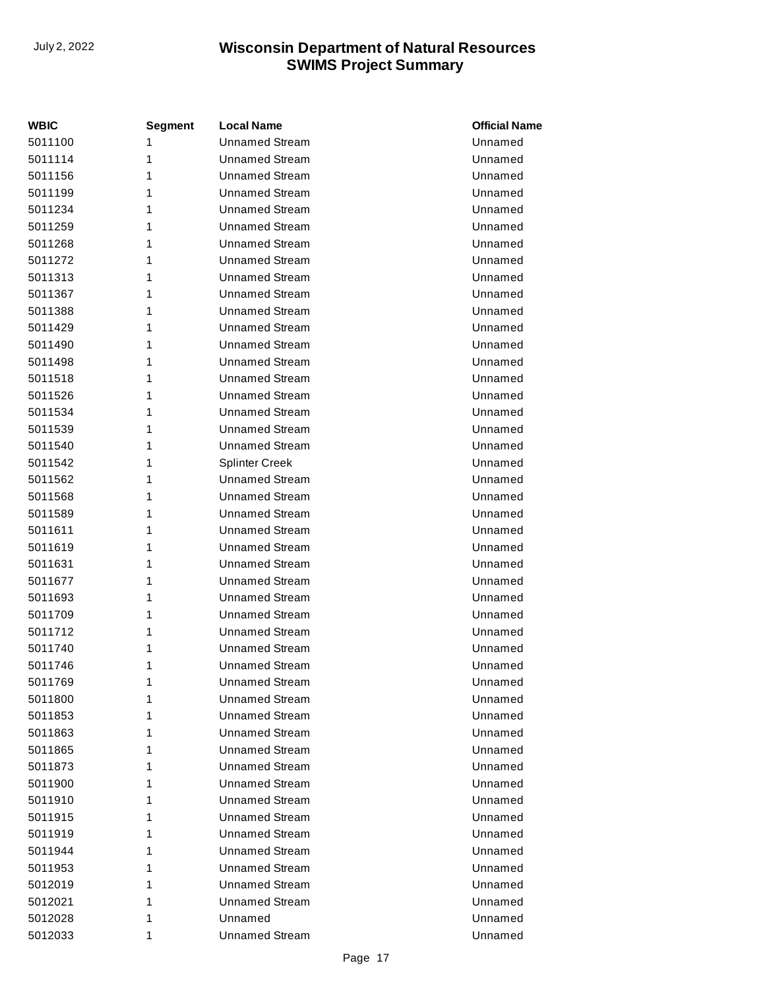| <b>WBIC</b> | <b>Segment</b> | <b>Local Name</b>     | <b>Official Name</b> |
|-------------|----------------|-----------------------|----------------------|
| 5011100     | 1              | <b>Unnamed Stream</b> | Unnamed              |
| 5011114     | 1              | <b>Unnamed Stream</b> | Unnamed              |
| 5011156     | 1              | <b>Unnamed Stream</b> | Unnamed              |
| 5011199     | 1              | <b>Unnamed Stream</b> | Unnamed              |
| 5011234     | 1              | <b>Unnamed Stream</b> | Unnamed              |
| 5011259     | 1              | <b>Unnamed Stream</b> | Unnamed              |
| 5011268     | 1              | <b>Unnamed Stream</b> | Unnamed              |
| 5011272     | 1              | <b>Unnamed Stream</b> | Unnamed              |
| 5011313     | 1              | <b>Unnamed Stream</b> | Unnamed              |
| 5011367     | 1              | <b>Unnamed Stream</b> | Unnamed              |
| 5011388     | 1              | <b>Unnamed Stream</b> | Unnamed              |
| 5011429     | 1              | <b>Unnamed Stream</b> | Unnamed              |
| 5011490     | 1              | <b>Unnamed Stream</b> | Unnamed              |
| 5011498     | 1              | <b>Unnamed Stream</b> | Unnamed              |
| 5011518     | 1              | <b>Unnamed Stream</b> | Unnamed              |
| 5011526     | 1              | <b>Unnamed Stream</b> | Unnamed              |
| 5011534     | 1              | <b>Unnamed Stream</b> | Unnamed              |
| 5011539     | 1              | <b>Unnamed Stream</b> | Unnamed              |
| 5011540     | 1              | <b>Unnamed Stream</b> | Unnamed              |
| 5011542     | 1              | <b>Splinter Creek</b> | Unnamed              |
| 5011562     | 1              | <b>Unnamed Stream</b> | Unnamed              |
| 5011568     | 1              | <b>Unnamed Stream</b> | Unnamed              |
| 5011589     | 1              | <b>Unnamed Stream</b> | Unnamed              |
| 5011611     | 1              | Unnamed Stream        | Unnamed              |
| 5011619     | 1              | <b>Unnamed Stream</b> | Unnamed              |
| 5011631     | 1              | <b>Unnamed Stream</b> | Unnamed              |
| 5011677     | 1              | <b>Unnamed Stream</b> | Unnamed              |
| 5011693     | 1              | <b>Unnamed Stream</b> | Unnamed              |
| 5011709     | 1              | <b>Unnamed Stream</b> | Unnamed              |
| 5011712     | 1              | <b>Unnamed Stream</b> | Unnamed              |
| 5011740     | 1              | <b>Unnamed Stream</b> | Unnamed              |
| 5011746     | 1              | <b>Unnamed Stream</b> | Unnamed              |
| 5011769     | 1              | <b>Unnamed Stream</b> | Unnamed              |
| 5011800     | 1              | Unnamed Stream        | Unnamed              |
| 5011853     | 1              | <b>Unnamed Stream</b> | Unnamed              |
| 5011863     | 1              | Unnamed Stream        | Unnamed              |
| 5011865     | 1              | <b>Unnamed Stream</b> | Unnamed              |
| 5011873     | 1              | <b>Unnamed Stream</b> | Unnamed              |
| 5011900     | 1              | <b>Unnamed Stream</b> | Unnamed              |
| 5011910     | 1              | <b>Unnamed Stream</b> | Unnamed              |
| 5011915     | 1              | <b>Unnamed Stream</b> | Unnamed              |
| 5011919     | 1              | <b>Unnamed Stream</b> | Unnamed              |
| 5011944     | 1              | <b>Unnamed Stream</b> | Unnamed              |
| 5011953     | 1              | Unnamed Stream        | Unnamed              |
| 5012019     | 1              | <b>Unnamed Stream</b> | Unnamed              |
| 5012021     | 1              | <b>Unnamed Stream</b> | Unnamed              |
| 5012028     | 1              | Unnamed               | Unnamed              |
| 5012033     | 1              | <b>Unnamed Stream</b> | Unnamed              |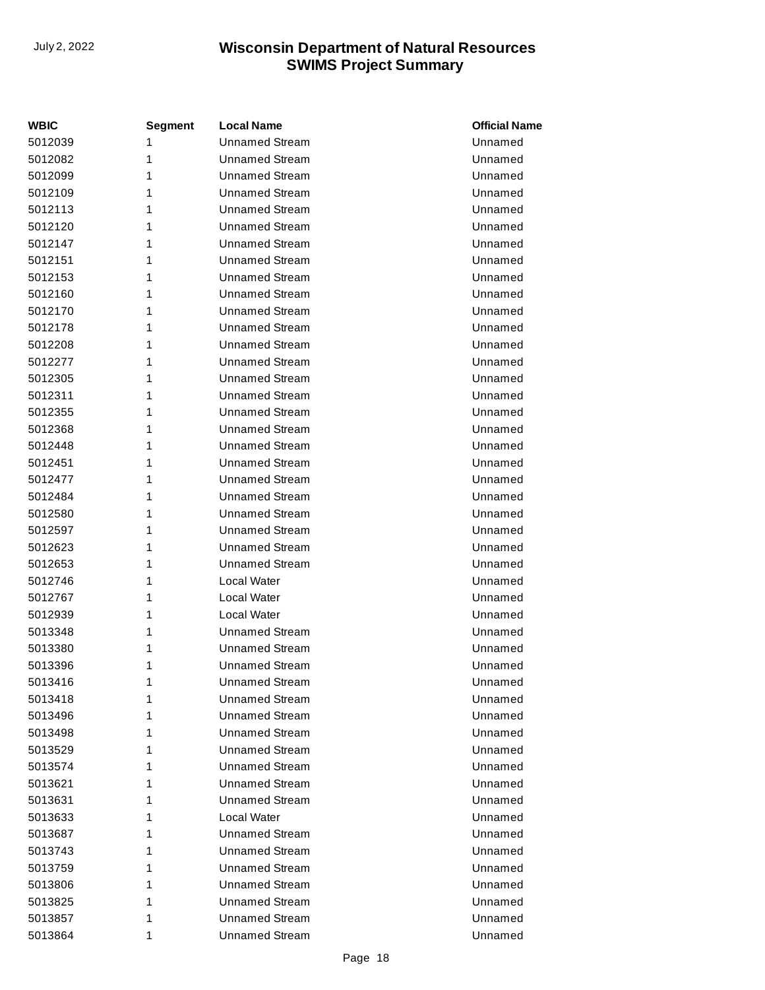| <b>WBIC</b> | Segment | <b>Local Name</b>     | <b>Official Name</b> |
|-------------|---------|-----------------------|----------------------|
| 5012039     | 1       | <b>Unnamed Stream</b> | Unnamed              |
| 5012082     | 1       | <b>Unnamed Stream</b> | Unnamed              |
| 5012099     | 1       | <b>Unnamed Stream</b> | Unnamed              |
| 5012109     | 1       | Unnamed Stream        | Unnamed              |
| 5012113     | 1       | <b>Unnamed Stream</b> | Unnamed              |
| 5012120     | 1       | <b>Unnamed Stream</b> | Unnamed              |
| 5012147     | 1       | <b>Unnamed Stream</b> | Unnamed              |
| 5012151     | 1       | <b>Unnamed Stream</b> | Unnamed              |
| 5012153     | 1       | <b>Unnamed Stream</b> | Unnamed              |
| 5012160     | 1       | <b>Unnamed Stream</b> | Unnamed              |
| 5012170     | 1       | <b>Unnamed Stream</b> | Unnamed              |
| 5012178     | 1       | Unnamed Stream        | Unnamed              |
| 5012208     | 1       | <b>Unnamed Stream</b> | Unnamed              |
| 5012277     | 1       | <b>Unnamed Stream</b> | Unnamed              |
| 5012305     | 1       | <b>Unnamed Stream</b> | Unnamed              |
| 5012311     | 1       | Unnamed Stream        | Unnamed              |
| 5012355     | 1       | <b>Unnamed Stream</b> | Unnamed              |
| 5012368     | 1       | <b>Unnamed Stream</b> | Unnamed              |
| 5012448     | 1       | <b>Unnamed Stream</b> | Unnamed              |
| 5012451     | 1       | Unnamed Stream        | Unnamed              |
| 5012477     | 1       | <b>Unnamed Stream</b> | Unnamed              |
| 5012484     | 1       | <b>Unnamed Stream</b> | Unnamed              |
| 5012580     | 1       | <b>Unnamed Stream</b> | Unnamed              |
| 5012597     | 1       | Unnamed Stream        | Unnamed              |
| 5012623     | 1       | <b>Unnamed Stream</b> | Unnamed              |
| 5012653     | 1       | <b>Unnamed Stream</b> | Unnamed              |
| 5012746     | 1       | Local Water           | Unnamed              |
| 5012767     | 1       | Local Water           | Unnamed              |
| 5012939     | 1       | Local Water           | Unnamed              |
| 5013348     | 1       | <b>Unnamed Stream</b> | Unnamed              |
| 5013380     | 1       | <b>Unnamed Stream</b> | Unnamed              |
| 5013396     | 1       | <b>Unnamed Stream</b> | Unnamed              |
| 5013416     | 1       | <b>Unnamed Stream</b> | Unnamed              |
| 5013418     | 1       | Unnamed Stream        | Unnamed              |
| 5013496     | 1       | <b>Unnamed Stream</b> | Unnamed              |
| 5013498     | 1       | Unnamed Stream        | Unnamed              |
| 5013529     | 1       | <b>Unnamed Stream</b> | Unnamed              |
| 5013574     | 1       | <b>Unnamed Stream</b> | Unnamed              |
| 5013621     | 1       | <b>Unnamed Stream</b> | Unnamed              |
| 5013631     | 1       | Unnamed Stream        | Unnamed              |
| 5013633     | 1       | Local Water           | Unnamed              |
| 5013687     | 1       | <b>Unnamed Stream</b> | Unnamed              |
| 5013743     | 1       | <b>Unnamed Stream</b> | Unnamed              |
| 5013759     | 1       | Unnamed Stream        | Unnamed              |
| 5013806     | 1       | <b>Unnamed Stream</b> | Unnamed              |
| 5013825     | 1       | <b>Unnamed Stream</b> | Unnamed              |
| 5013857     | 1       | <b>Unnamed Stream</b> | Unnamed              |
| 5013864     | 1       | <b>Unnamed Stream</b> | Unnamed              |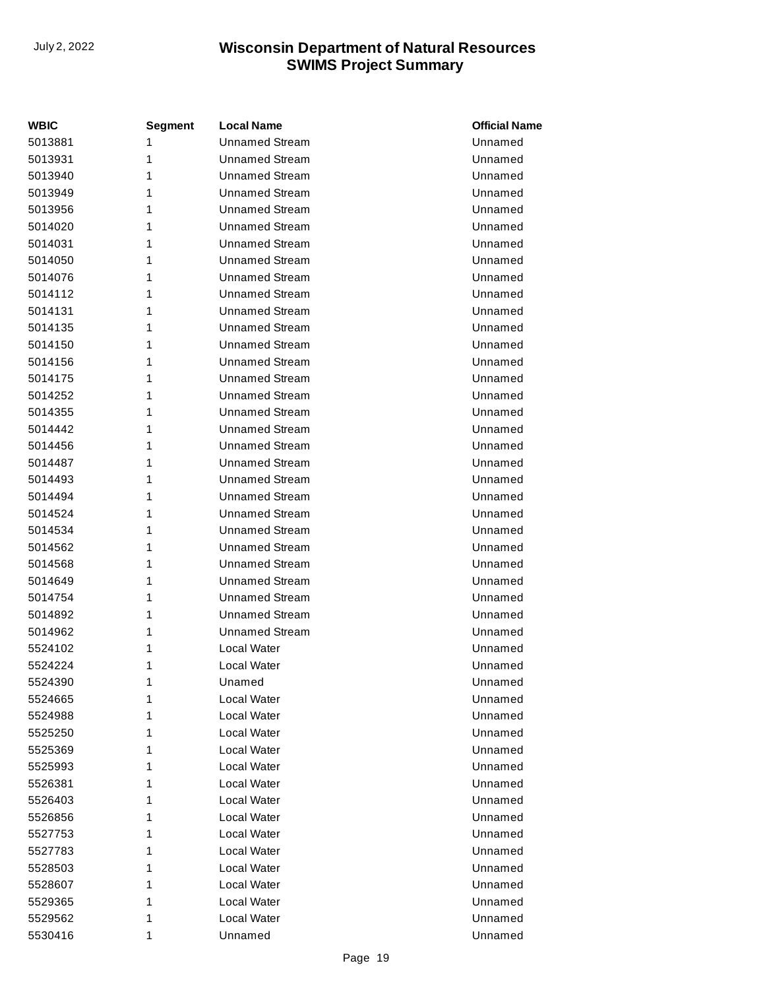| <b>WBIC</b> | <b>Segment</b> | <b>Local Name</b>     | <b>Official Name</b> |
|-------------|----------------|-----------------------|----------------------|
| 5013881     | 1              | <b>Unnamed Stream</b> | Unnamed              |
| 5013931     | 1              | <b>Unnamed Stream</b> | Unnamed              |
| 5013940     | 1              | <b>Unnamed Stream</b> | Unnamed              |
| 5013949     | 1              | <b>Unnamed Stream</b> | Unnamed              |
| 5013956     | 1              | <b>Unnamed Stream</b> | Unnamed              |
| 5014020     | 1              | <b>Unnamed Stream</b> | Unnamed              |
| 5014031     | 1              | <b>Unnamed Stream</b> | Unnamed              |
| 5014050     | 1              | <b>Unnamed Stream</b> | Unnamed              |
| 5014076     | 1              | <b>Unnamed Stream</b> | Unnamed              |
| 5014112     | 1              | <b>Unnamed Stream</b> | Unnamed              |
| 5014131     | 1              | <b>Unnamed Stream</b> | Unnamed              |
| 5014135     | 1              | <b>Unnamed Stream</b> | Unnamed              |
| 5014150     | 1              | <b>Unnamed Stream</b> | Unnamed              |
| 5014156     | 1              | <b>Unnamed Stream</b> | Unnamed              |
| 5014175     | 1              | <b>Unnamed Stream</b> | Unnamed              |
| 5014252     | 1              | <b>Unnamed Stream</b> | Unnamed              |
| 5014355     | 1              | <b>Unnamed Stream</b> | Unnamed              |
| 5014442     | 1              | <b>Unnamed Stream</b> | Unnamed              |
| 5014456     | 1              | <b>Unnamed Stream</b> | Unnamed              |
| 5014487     | 1              | <b>Unnamed Stream</b> | Unnamed              |
| 5014493     | 1              | <b>Unnamed Stream</b> | Unnamed              |
| 5014494     | 1              | <b>Unnamed Stream</b> | Unnamed              |
| 5014524     | 1              | <b>Unnamed Stream</b> | Unnamed              |
| 5014534     | 1              | <b>Unnamed Stream</b> | Unnamed              |
| 5014562     | 1              | <b>Unnamed Stream</b> | Unnamed              |
| 5014568     | 1              | <b>Unnamed Stream</b> | Unnamed              |
| 5014649     | 1              | <b>Unnamed Stream</b> | Unnamed              |
| 5014754     | 1              | <b>Unnamed Stream</b> | Unnamed              |
| 5014892     | 1              | <b>Unnamed Stream</b> | Unnamed              |
| 5014962     | 1              | <b>Unnamed Stream</b> | Unnamed              |
| 5524102     | 1              | Local Water           | Unnamed              |
| 5524224     | 1              | Local Water           | Unnamed              |
| 5524390     | 1              | Unamed                | Unnamed              |
| 5524665     | 1              | Local Water           | Unnamed              |
| 5524988     | 1              | Local Water           | Unnamed              |
| 5525250     | 1              | Local Water           | Unnamed              |
| 5525369     | 1              | Local Water           | Unnamed              |
| 5525993     | 1              | Local Water           | Unnamed              |
| 5526381     | 1              | Local Water           | Unnamed              |
| 5526403     | 1              | Local Water           | Unnamed              |
| 5526856     | 1              | Local Water           | Unnamed              |
| 5527753     | 1              | Local Water           | Unnamed              |
| 5527783     | 1              | Local Water           | Unnamed              |
| 5528503     | 1              | Local Water           | Unnamed              |
| 5528607     | 1              | Local Water           | Unnamed              |
| 5529365     | 1              | Local Water           | Unnamed              |
| 5529562     | 1              | Local Water           | Unnamed              |
| 5530416     | 1              | Unnamed               | Unnamed              |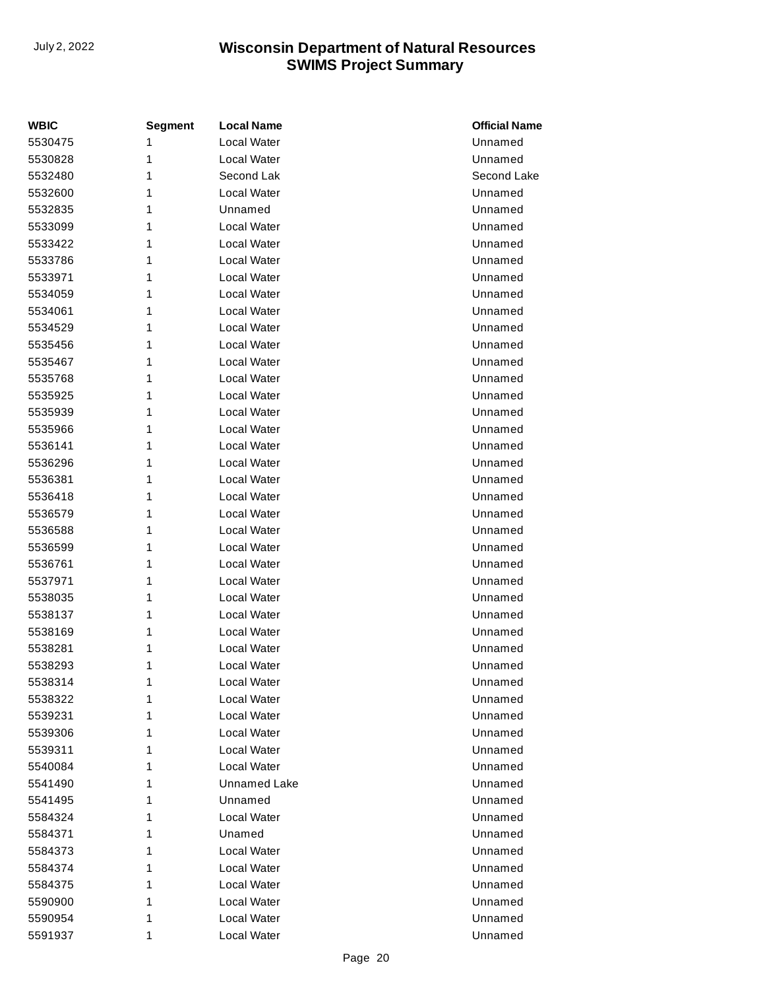| <b>WBIC</b> | <b>Segment</b> | <b>Local Name</b>   | <b>Official Name</b> |
|-------------|----------------|---------------------|----------------------|
| 5530475     | 1              | Local Water         | Unnamed              |
| 5530828     | 1              | Local Water         | Unnamed              |
| 5532480     | 1              | Second Lak          | Second Lake          |
| 5532600     | 1              | Local Water         | Unnamed              |
| 5532835     | 1              | Unnamed             | Unnamed              |
| 5533099     | 1              | Local Water         | Unnamed              |
| 5533422     | 1              | Local Water         | Unnamed              |
| 5533786     | 1              | Local Water         | Unnamed              |
| 5533971     | 1              | Local Water         | Unnamed              |
| 5534059     | 1              | <b>Local Water</b>  | Unnamed              |
| 5534061     | 1              | Local Water         | Unnamed              |
| 5534529     | 1              | Local Water         | Unnamed              |
| 5535456     | 1              | Local Water         | Unnamed              |
| 5535467     | 1              | <b>Local Water</b>  | Unnamed              |
| 5535768     | 1              | <b>Local Water</b>  | Unnamed              |
| 5535925     | 1              | Local Water         | Unnamed              |
| 5535939     | 1              | Local Water         | Unnamed              |
| 5535966     | 1              | <b>Local Water</b>  | Unnamed              |
| 5536141     | 1              | Local Water         | Unnamed              |
| 5536296     | 1              | Local Water         | Unnamed              |
| 5536381     | 1              | Local Water         | Unnamed              |
| 5536418     | 1              | <b>Local Water</b>  | Unnamed              |
| 5536579     | 1              | <b>Local Water</b>  | Unnamed              |
| 5536588     | 1              | Local Water         | Unnamed              |
| 5536599     | 1              | Local Water         | Unnamed              |
| 5536761     | 1              | <b>Local Water</b>  | Unnamed              |
| 5537971     | 1              | Local Water         | Unnamed              |
| 5538035     | 1              | Local Water         | Unnamed              |
| 5538137     | 1              | Local Water         | Unnamed              |
| 5538169     | 1              | Local Water         | Unnamed              |
| 5538281     | 1              | Local Water         | Unnamed              |
| 5538293     | 1              | Local Water         | Unnamed              |
| 5538314     | 1              | Local Water         | Unnamed              |
| 5538322     | 1              | Local Water         | Unnamed              |
| 5539231     | 1              | Local Water         | Unnamed              |
| 5539306     | 1              | Local Water         | Unnamed              |
| 5539311     | 1              | Local Water         | Unnamed              |
| 5540084     | 1              | Local Water         | Unnamed              |
| 5541490     | 1              | <b>Unnamed Lake</b> | Unnamed              |
| 5541495     | 1              | Unnamed             | Unnamed              |
| 5584324     | 1              | Local Water         | Unnamed              |
| 5584371     | 1              | Unamed              | Unnamed              |
| 5584373     | 1              | Local Water         | Unnamed              |
| 5584374     | 1              | Local Water         | Unnamed              |
| 5584375     | 1              | Local Water         | Unnamed              |
| 5590900     | 1              | Local Water         | Unnamed              |
| 5590954     | 1              | Local Water         | Unnamed              |
| 5591937     | 1              | Local Water         | Unnamed              |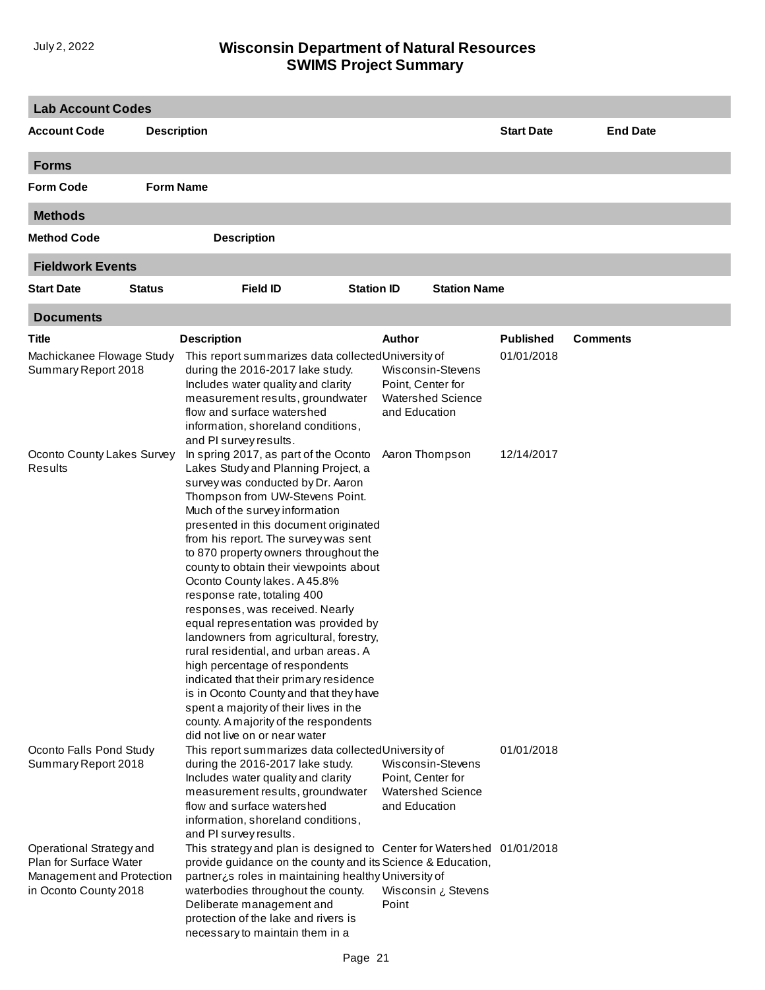| <b>Lab Account Codes</b>                                                                                 |                    |                                                                                                                                                                                                                                                                                                                                                                                                                                                                                                                                                                                                                                                                                                                                                                                                                                     |                   |                                                                                     |                                |                 |
|----------------------------------------------------------------------------------------------------------|--------------------|-------------------------------------------------------------------------------------------------------------------------------------------------------------------------------------------------------------------------------------------------------------------------------------------------------------------------------------------------------------------------------------------------------------------------------------------------------------------------------------------------------------------------------------------------------------------------------------------------------------------------------------------------------------------------------------------------------------------------------------------------------------------------------------------------------------------------------------|-------------------|-------------------------------------------------------------------------------------|--------------------------------|-----------------|
| <b>Account Code</b>                                                                                      | <b>Description</b> |                                                                                                                                                                                                                                                                                                                                                                                                                                                                                                                                                                                                                                                                                                                                                                                                                                     |                   |                                                                                     | <b>Start Date</b>              | <b>End Date</b> |
| <b>Forms</b>                                                                                             |                    |                                                                                                                                                                                                                                                                                                                                                                                                                                                                                                                                                                                                                                                                                                                                                                                                                                     |                   |                                                                                     |                                |                 |
| <b>Form Code</b>                                                                                         | <b>Form Name</b>   |                                                                                                                                                                                                                                                                                                                                                                                                                                                                                                                                                                                                                                                                                                                                                                                                                                     |                   |                                                                                     |                                |                 |
| <b>Methods</b>                                                                                           |                    |                                                                                                                                                                                                                                                                                                                                                                                                                                                                                                                                                                                                                                                                                                                                                                                                                                     |                   |                                                                                     |                                |                 |
| <b>Method Code</b>                                                                                       |                    | <b>Description</b>                                                                                                                                                                                                                                                                                                                                                                                                                                                                                                                                                                                                                                                                                                                                                                                                                  |                   |                                                                                     |                                |                 |
| <b>Fieldwork Events</b>                                                                                  |                    |                                                                                                                                                                                                                                                                                                                                                                                                                                                                                                                                                                                                                                                                                                                                                                                                                                     |                   |                                                                                     |                                |                 |
| <b>Start Date</b>                                                                                        | <b>Status</b>      | <b>Field ID</b>                                                                                                                                                                                                                                                                                                                                                                                                                                                                                                                                                                                                                                                                                                                                                                                                                     | <b>Station ID</b> | <b>Station Name</b>                                                                 |                                |                 |
| <b>Documents</b>                                                                                         |                    |                                                                                                                                                                                                                                                                                                                                                                                                                                                                                                                                                                                                                                                                                                                                                                                                                                     |                   |                                                                                     |                                |                 |
| Title<br>Machickanee Flowage Study<br>Summary Report 2018                                                |                    | <b>Description</b><br>This report summarizes data collected University of<br>during the 2016-2017 lake study.<br>Includes water quality and clarity<br>measurement results, groundwater<br>flow and surface watershed<br>information, shoreland conditions,<br>and PI survey results.                                                                                                                                                                                                                                                                                                                                                                                                                                                                                                                                               | Author            | Wisconsin-Stevens<br>Point, Center for<br><b>Watershed Science</b><br>and Education | <b>Published</b><br>01/01/2018 | <b>Comments</b> |
| Oconto County Lakes Survey<br>Results                                                                    |                    | In spring 2017, as part of the Oconto<br>Lakes Study and Planning Project, a<br>survey was conducted by Dr. Aaron<br>Thompson from UW-Stevens Point.<br>Much of the survey information<br>presented in this document originated<br>from his report. The survey was sent<br>to 870 property owners throughout the<br>county to obtain their viewpoints about<br>Oconto County lakes. A 45.8%<br>response rate, totaling 400<br>responses, was received. Nearly<br>equal representation was provided by<br>landowners from agricultural, forestry,<br>rural residential, and urban areas. A<br>high percentage of respondents<br>indicated that their primary residence<br>is in Oconto County and that they have<br>spent a majority of their lives in the<br>county. A majority of the respondents<br>did not live on or near water |                   | Aaron Thompson                                                                      | 12/14/2017                     |                 |
| Oconto Falls Pond Study<br>Summary Report 2018                                                           |                    | This report summarizes data collected University of<br>during the 2016-2017 lake study.<br>Includes water quality and clarity<br>measurement results, groundwater<br>flow and surface watershed<br>information, shoreland conditions,<br>and PI survey results.                                                                                                                                                                                                                                                                                                                                                                                                                                                                                                                                                                     |                   | Wisconsin-Stevens<br>Point, Center for<br><b>Watershed Science</b><br>and Education | 01/01/2018                     |                 |
| Operational Strategy and<br>Plan for Surface Water<br>Management and Protection<br>in Oconto County 2018 |                    | This strategy and plan is designed to Center for Watershed 01/01/2018<br>provide guidance on the county and its Science & Education,<br>partner¿s roles in maintaining healthy University of<br>waterbodies throughout the county.<br>Deliberate management and<br>protection of the lake and rivers is<br>necessary to maintain them in a                                                                                                                                                                                                                                                                                                                                                                                                                                                                                          | Point             | Wisconsin ¿ Stevens                                                                 |                                |                 |